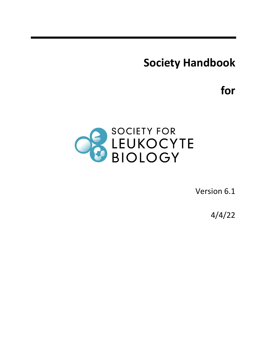**Society Handbook**

**for**



Version 6.1

4/4/22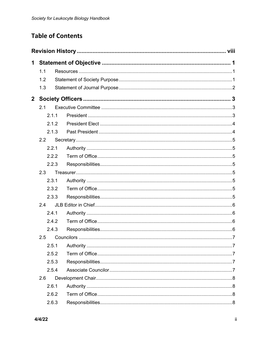# **Table of Contents**

| $\mathbf 1$  |       |  |  |  |
|--------------|-------|--|--|--|
|              | 1.1   |  |  |  |
|              | 1.2   |  |  |  |
|              | 1.3   |  |  |  |
| $\mathbf{2}$ |       |  |  |  |
|              | 2.1   |  |  |  |
|              | 2.1.1 |  |  |  |
|              | 2.1.2 |  |  |  |
|              | 2.1.3 |  |  |  |
|              | 2.2   |  |  |  |
|              | 2.2.1 |  |  |  |
|              | 2.2.2 |  |  |  |
|              | 2.2.3 |  |  |  |
|              | 2.3   |  |  |  |
|              | 2.3.1 |  |  |  |
|              | 2.3.2 |  |  |  |
|              | 2.3.3 |  |  |  |
|              | 2.4   |  |  |  |
|              | 2.4.1 |  |  |  |
|              | 2.4.2 |  |  |  |
|              | 2.4.3 |  |  |  |
|              | 2.5   |  |  |  |
|              | 2.5.1 |  |  |  |
|              | 2.5.2 |  |  |  |
|              | 2.5.3 |  |  |  |
|              | 2.5.4 |  |  |  |
|              | 2.6   |  |  |  |
|              | 2.6.1 |  |  |  |
|              | 2.6.2 |  |  |  |
|              | 2.6.3 |  |  |  |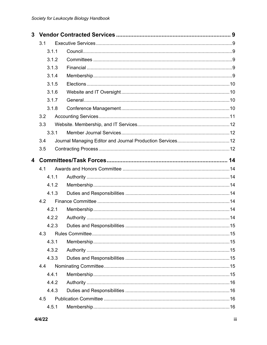| $\overline{3}$ |       |  |  |
|----------------|-------|--|--|
|                | 3.1   |  |  |
|                | 3.1.1 |  |  |
|                | 3.1.2 |  |  |
|                | 3.1.3 |  |  |
|                | 3.1.4 |  |  |
|                | 3.1.5 |  |  |
|                | 3.1.6 |  |  |
|                | 3.1.7 |  |  |
|                | 3.1.8 |  |  |
|                | 3.2   |  |  |
|                | 3.3   |  |  |
|                | 3.3.1 |  |  |
|                | 3.4   |  |  |
|                | 3.5   |  |  |
| 4              |       |  |  |
|                | 4.1   |  |  |
|                | 4.1.1 |  |  |
|                | 4.1.2 |  |  |
|                | 4.1.3 |  |  |
|                | 4.2   |  |  |
|                | 4.2.1 |  |  |
|                | 4.2.2 |  |  |
|                | 423   |  |  |
|                | 4.3   |  |  |
|                | 4.3.1 |  |  |
|                | 4.3.2 |  |  |
|                | 4.3.3 |  |  |
|                | 4.4   |  |  |
|                | 4.4.1 |  |  |
|                | 4.4.2 |  |  |
|                | 4.4.3 |  |  |
|                | 4.5   |  |  |
|                | 4.5.1 |  |  |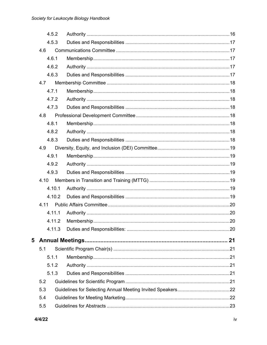|   | 4.5.2  |  |  |
|---|--------|--|--|
|   | 4.5.3  |  |  |
|   | 4.6    |  |  |
|   | 4.6.1  |  |  |
|   | 4.6.2  |  |  |
|   | 4.6.3  |  |  |
|   | 4.7    |  |  |
|   | 4.7.1  |  |  |
|   | 4.7.2  |  |  |
|   | 4.7.3  |  |  |
|   | 4.8    |  |  |
|   | 4.8.1  |  |  |
|   | 4.8.2  |  |  |
|   | 4.8.3  |  |  |
|   | 4.9    |  |  |
|   | 4.9.1  |  |  |
|   | 4.9.2  |  |  |
|   | 4.9.3  |  |  |
|   | 4.10   |  |  |
|   | 4.10.1 |  |  |
|   | 4.10.2 |  |  |
|   | 4.11   |  |  |
|   | 4.11.1 |  |  |
|   | 4.11.2 |  |  |
|   | 4.11.3 |  |  |
| 5 |        |  |  |
|   | 5.1    |  |  |
|   | 5.1.1  |  |  |
|   | 5.1.2  |  |  |
|   | 5.1.3  |  |  |
|   | 5.2    |  |  |
|   | 5.3    |  |  |
|   | 5.4    |  |  |
|   | 5.5    |  |  |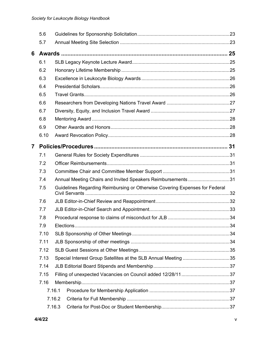|   | 5.6  |                                                                             |            |
|---|------|-----------------------------------------------------------------------------|------------|
|   | 5.7  |                                                                             |            |
| 6 |      |                                                                             |            |
|   | 6.1  |                                                                             |            |
|   | 6.2  |                                                                             |            |
|   | 6.3  |                                                                             |            |
|   | 6.4  |                                                                             |            |
|   | 6.5  |                                                                             |            |
|   | 6.6  |                                                                             |            |
|   | 6.7  |                                                                             |            |
|   | 6.8  |                                                                             |            |
|   | 6.9  |                                                                             |            |
|   | 6.10 |                                                                             |            |
| 7 |      |                                                                             |            |
|   | 7.1  |                                                                             |            |
|   | 7.2  |                                                                             |            |
|   | 7.3  |                                                                             |            |
|   | 7.4  | Annual Meeting Chairs and Invited Speakers Reimbursements31                 |            |
|   | 7.5  | Guidelines Regarding Reimbursing or Otherwise Covering Expenses for Federal |            |
|   | 7.6  |                                                                             |            |
|   | 7.7  |                                                                             |            |
|   | 7.8  |                                                                             |            |
|   | 79   | <b>Flections</b>                                                            | $\dots$ 34 |
|   | 7.10 |                                                                             |            |
|   | 7.11 |                                                                             |            |
|   | 7.12 |                                                                             |            |
|   | 7.13 | Special Interest Group Satellites at the SLB Annual Meeting 35              |            |
|   | 7.14 |                                                                             |            |
|   | 7.15 |                                                                             |            |
|   | 7.16 |                                                                             |            |
|   |      | 7.16.1                                                                      |            |
|   |      | 7.16.2                                                                      |            |
|   |      | 7.16.3                                                                      |            |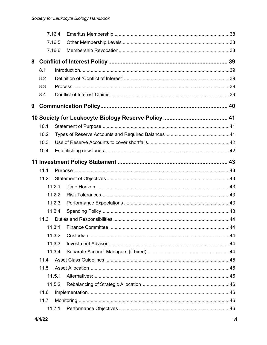|   |      | 7.16.4 |  |
|---|------|--------|--|
|   |      | 7.16.5 |  |
|   |      | 7.16.6 |  |
| 8 |      |        |  |
|   | 8.1  |        |  |
|   | 8.2  |        |  |
|   | 8.3  |        |  |
|   | 8.4  |        |  |
| 9 |      |        |  |
|   |      |        |  |
|   | 10.1 |        |  |
|   | 10.2 |        |  |
|   | 10.3 |        |  |
|   | 10.4 |        |  |
|   |      |        |  |
|   | 11.1 |        |  |
|   | 11.2 |        |  |
|   |      | 11.2.1 |  |
|   |      | 11.2.2 |  |
|   |      | 11.2.3 |  |
|   |      | 11.2.4 |  |
|   | 11.3 |        |  |
|   |      |        |  |
|   |      | 11.3.2 |  |
|   |      | 11.3.3 |  |
|   |      | 11.3.4 |  |
|   | 11.4 |        |  |
|   | 11.5 |        |  |
|   |      | 11.5.1 |  |
|   |      | 11.5.2 |  |
|   | 11.6 |        |  |
|   | 11.7 |        |  |
|   |      | 11.7.1 |  |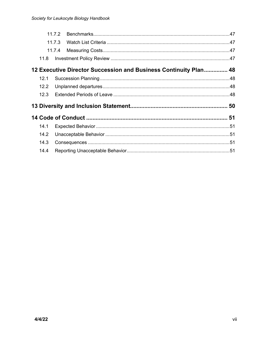|      |        | 11.7.2                                                           |  |
|------|--------|------------------------------------------------------------------|--|
|      | 11.7.3 |                                                                  |  |
|      | 11.7.4 |                                                                  |  |
| 11.8 |        |                                                                  |  |
|      |        | 12 Executive Director Succession and Business Continuity Plan 48 |  |
| 12.1 |        |                                                                  |  |
| 12.2 |        |                                                                  |  |
| 12.3 |        |                                                                  |  |
|      |        |                                                                  |  |
|      |        |                                                                  |  |
| 14.1 |        |                                                                  |  |
| 14.2 |        |                                                                  |  |
| 14.3 |        |                                                                  |  |
| 14.4 |        |                                                                  |  |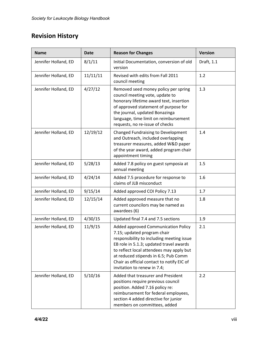# <span id="page-7-0"></span>**Revision History**

| <b>Name</b>          | <b>Date</b> | <b>Reason for Changes</b>                                                                                                                                                                                                                                                                                                   | <b>Version</b> |
|----------------------|-------------|-----------------------------------------------------------------------------------------------------------------------------------------------------------------------------------------------------------------------------------------------------------------------------------------------------------------------------|----------------|
| Jennifer Holland, ED | 8/1/11      | Initial Documentation, conversion of old<br>version                                                                                                                                                                                                                                                                         | Draft, 1.1     |
| Jennifer Holland, ED | 11/11/11    | Revised with edits from Fall 2011<br>council meeting                                                                                                                                                                                                                                                                        | 1.2            |
| Jennifer Holland, ED | 4/27/12     | Removed seed money policy per spring<br>council meeting vote, update to<br>honorary lifetime award text, insertion<br>of approved statement of purpose for<br>the journal, updated Bonazinga<br>language, time limit on reimbursement<br>requests, no re-issue of checks                                                    | 1.3            |
| Jennifer Holland, ED | 12/19/12    | Changed Fundraising to Development<br>and Outreach, included overlapping<br>treasurer measures, added W&D paper<br>of the year award, added program chair<br>appointment timing                                                                                                                                             | 1.4            |
| Jennifer Holland, ED | 5/28/13     | Added 7.8 policy on guest symposia at<br>annual meeting                                                                                                                                                                                                                                                                     | 1.5            |
| Jennifer Holland, ED | 4/24/14     | Added 7.5 procedure for response to<br>claims of JLB misconduct                                                                                                                                                                                                                                                             | 1.6            |
| Jennifer Holland, ED | 9/15/14     | Added approved COI Policy 7.13                                                                                                                                                                                                                                                                                              | 1.7            |
| Jennifer Holland, ED | 12/15/14    | Added approved measure that no<br>current councilors may be named as<br>awardees (6)                                                                                                                                                                                                                                        | 1.8            |
| Jennifer Holland, ED | 4/30/15     | Updated final 7.4 and 7.5 sections                                                                                                                                                                                                                                                                                          | 1.9            |
| Jennifer Holland, ED | 11/9/15     | Added approved Communication Policy<br>7.15; updated program chair<br>responsibility to including meeting issue<br>EB role in 5.1.3; updated travel awards<br>to reflect local attendees may apply but<br>at reduced stipends in 6.5; Pub Comm<br>Chair as official contact to notify EIC of<br>invitation to renew in 7.4; | 2.1            |
| Jennifer Holland, ED | 5/10/16     | Added that treasurer and President<br>positions require previous council<br>position. Added 7.16 policy re:<br>reimbursement for federal employees,<br>section 4 added directive for junior<br>members on committees, added                                                                                                 | 2.2            |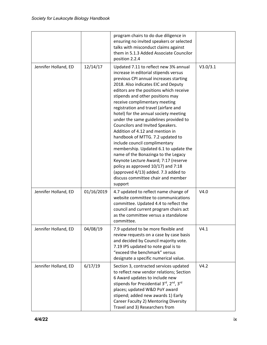|                      |            | program chairs to do due diligence in<br>ensuring no invited speakers or selected<br>talks with misconduct claims against<br>them in 5.1.3 Added Associate Councilor<br>position 2.2.4                                                                                                                                                                                                                                                                                                                                                                                                                                                                                                                                                                                                                      |          |
|----------------------|------------|-------------------------------------------------------------------------------------------------------------------------------------------------------------------------------------------------------------------------------------------------------------------------------------------------------------------------------------------------------------------------------------------------------------------------------------------------------------------------------------------------------------------------------------------------------------------------------------------------------------------------------------------------------------------------------------------------------------------------------------------------------------------------------------------------------------|----------|
| Jennifer Holland, ED | 12/14/17   | Updated 7.11 to reflect new 3% annual<br>increase in editorial stipends versus<br>previous CPI annual increases starting<br>2018. Also indicates EIC and Deputy<br>editors are the positions which receive<br>stipends and other positions may<br>receive complimentary meeting<br>registration and travel (airfare and<br>hotel) for the annual society meeting<br>under the same guidelines provided to<br>Councilors and Invited Speakers.<br>Addition of 4.12 and mention in<br>handbook of MTTG. 7.2 updated to<br>include council complimentary<br>membership. Updated 6.1 to update the<br>name of the Bonazinga to the Legacy<br>Keynote Lecture Award; 7:17 (reserve<br>policy as approved 10/17) and 7:18<br>(approved 4/13) added. 7.3 added to<br>discuss committee chair and member<br>support | V3.0/3.1 |
| Jennifer Holland, ED | 01/16/2019 | 4.7 updated to reflect name change of<br>website committee to communications<br>committee. Updated 4.4 to reflect the<br>council and current program chairs act<br>as the committee versus a standalone<br>committee.                                                                                                                                                                                                                                                                                                                                                                                                                                                                                                                                                                                       | V4.0     |
| Jennifer Holland, ED | 04/08/19   | 7.9 updated to be more flexible and<br>review requests on a case by case basis<br>and decided by Council majority vote.<br>7.19 IPS updated to note goal is to<br>"exceed the benchmark" versus<br>designate a specific numerical value.                                                                                                                                                                                                                                                                                                                                                                                                                                                                                                                                                                    | V4.1     |
| Jennifer Holland, ED | 6/17/19    | Section 3, contracted services updated<br>to reflect new vendor relations; Section<br>6 Award updates to include new<br>stipends for Presidential 3rd, 2nd, 3rd<br>places; updated W&D PoY award<br>stipend; added new awards 1) Early<br>Career Faculty 2) Mentoring Diversity<br>Travel and 3) Researchers from                                                                                                                                                                                                                                                                                                                                                                                                                                                                                           | V4.2     |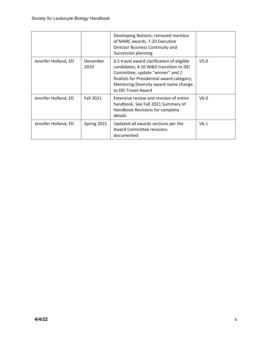|                      |                  | Developing Nations; removed mention<br>of MARC awards, 7.20 Executive<br>Director Business Continuity and<br>Succession planning                                                                                                       |      |
|----------------------|------------------|----------------------------------------------------------------------------------------------------------------------------------------------------------------------------------------------------------------------------------------|------|
| Jennifer Holland, ED | December<br>2019 | 6.5 travel award clarification of eligible<br>candidates; 4:10 W&D transition to DEI<br>Committee; update "winner" and 2<br>finalists for Presidential award category;<br>Mentoring Diversity award name change<br>to DEI Travel Award | V5.0 |
| Jennifer Holland, ED | <b>Fall 2021</b> | Extensive review and revision of entire<br>handbook. See Fall 2021 Summary of<br>Handbook Revisions for complete<br>details                                                                                                            | V6.0 |
| Jennifer Holland, ED | Spring 2021      | Updated all awards sections per the<br><b>Award Committee revisions</b><br>documented                                                                                                                                                  | V6.1 |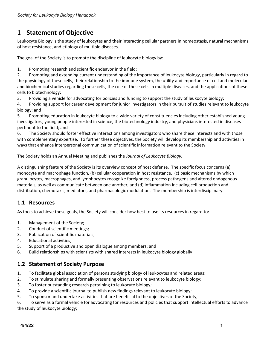# <span id="page-10-0"></span>**1 Statement of Objective**

Leukocyte Biology is the study of leukocytes and their interacting cellular partners in homeostasis, natural mechanisms of host resistance, and etiology of multiple diseases.

The goal of the Society is to promote the discipline of leukocyte biology by:

1. Promoting research and scientific endeavor in the field;

2. Promoting and extending current understanding of the importance of leukocyte biology, particularly in regard to the physiology of these cells, their relationship to the immune system, the utility and importance of cell and molecular and biochemical studies regarding these cells, the role of these cells in multiple diseases, and the applications of these cells to biotechnology;

3. Providing a vehicle for advocating for policies and funding to support the study of leukocyte biology;

4. Providing support for career development for junior investigators in their pursuit of studies relevant to leukocyte biology; and

5. Promoting education in leukocyte biology to a wide variety of constituencies including other established young investigators, young people interested in science, the biotechnology industry, and physicians interested in diseases pertinent to the field; and

6. The Society should foster effective interactions among investigators who share these interests and with those with complementary expertise. To further these objectives, the Society will develop its membership and activities in ways that enhance interpersonal communication of scientific information relevant to the Society.

The Society holds an Annual Meeting and publishes the *Journal of Leukocyte Biology*.

A distinguishing feature of the Society is its overview concept of host defense. The specific focus concerns (a) monocyte and macrophage function, (b) cellular cooperation in host resistance, (c) basic mechanisms by which granulocytes, macrophages, and lymphocytes recognize foreignness, process pathogens and altered endogenous materials, as well as communicate between one another, and (d) inflammation including cell production and distribution, chemotaxis, mediators, and pharmacologic modulation. The membership is interdisciplinary.

# <span id="page-10-1"></span>**1.1 Resources**

As tools to achieve these goals, the Society will consider how best to use its resources in regard to:

- 1. Management of the Society;
- 2. Conduct of scientific meetings;
- 3. Publication of scientific materials;
- 4. Educational activities;
- 5. Support of a productive and open dialogue among members; and
- 6. Build relationships with scientists with shared interests in leukocyte biology globally

# <span id="page-10-2"></span>**1.2 Statement of Society Purpose**

- 1. To facilitate global association of persons studying biology of leukocytes and related areas;
- 2. To stimulate sharing and formally presenting observations relevant to leukocyte biology;
- 3. To foster outstanding research pertaining to leukocyte biology;
- 4. To provide a scientific journal to publish new findings relevant to leukocyte biology;
- 5. To sponsor and undertake activities that are beneficial to the objectives of the Society;

6. To serve as a formal vehicle for advocating for resources and policies that support intellectual efforts to advance the study of leukocyte biology;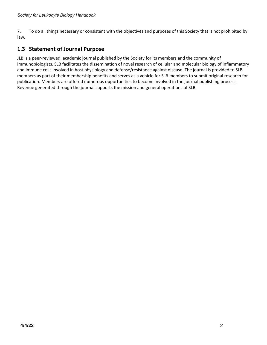7. To do all things necessary or consistent with the objectives and purposes of this Society that is not prohibited by law.

# <span id="page-11-0"></span>**1.3 Statement of Journal Purpose**

JLB is a peer-reviewed, academic journal published by the Society for its members and the community of immunobiologists. SLB facilitates the dissemination of novel research of cellular and molecular biology of inflammatory and immune cells involved in host physiology and defense/resistance against disease. The journal is provided to SLB members as part of their membership benefits and serves as a vehicle for SLB members to submit original research for publication. Members are offered numerous opportunities to become involved in the journal publishing process. Revenue generated through the journal supports the mission and general operations of SLB.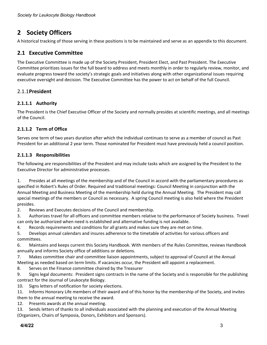# <span id="page-12-0"></span>**2 Society Officers**

A historical tracking of those serving in these positions is to be maintained and serve as an appendix to this document.

# <span id="page-12-1"></span>**2.1 Executive Committee**

The Executive Committee is made up of the Society President, President Elect, and Past President. The Executive Committee prioritizes issues for the full board to address and meets monthly in order to regularly review, monitor, and evaluate progress toward the society's strategic goals and initiatives along with other organizational issues requiring executive oversight and decision. The Executive Committee has the power to act on behalf of the full Council.

### <span id="page-12-2"></span>2.1.1**President**

### **2.1.1.1 Authority**

The President is the Chief Executive Officer of the Society and normally presides at scientific meetings, and all meetings of the Council.

### **2.1.1.2 Term of Office**

Serves one term of two years duration after which the individual continues to serve as a member of council as Past President for an additional 2 year term. Those nominated for President must have previously held a council position.

### **2.1.1.3 Responsibilities**

The following are responsibilities of the President and may include tasks which are assigned by the President to the Executive Director for administrative processes.

1. Presides at all meetings of the membership and of the Council in accord with the parliamentary procedures as specified in Robert's Rules of Order. Required and traditional meetings: Council Meeting in conjunction with the Annual Meeting and Business Meeting of the membership held during the Annual Meeting. The President may call special meetings of the members or Council as necessary. A spring Council meeting is also held where the President presides.

2. Reviews and Executes decisions of the Council and membership.

3. Authorizes travel for all officers and committee members relative to the performance of Society business. Travel can only be authorized when need is established and alternative funding is not available.

4. Records requirements and conditions for all grants and makes sure they are met on time.

5. Develops annual calendars and insures adherence to the timetable of activities for various officers and committees.

6. Maintains and keeps current this Society Handbook. With members of the Rules Committee, reviews Handbook annually and informs Society office of additions or deletions.

7. Makes committee chair and committee liaison appointments, subject to approval of Council at the Annual Meeting as needed based on term limits. If vacancies occur, the President will appoint a replacement.

8. Serves on the Finance committee chaired by the Treasurer

9. Signs legal documents: President signs contracts in the name of the Society and is responsible for the publishing contract for the Journal of Leukocyte Biology.

10. Signs letters of notification for society elections.

11. Informs Honorary Life members of their award and of this honor by the membership of the Society, and invites them to the annual meeting to receive the award.

12. Presents awards at the annual meeting.

13. Sends letters of thanks to all individuals associated with the planning and execution of the Annual Meeting (Organizers, Chairs of Symposia, Donors, Exhibitors and Sponsors).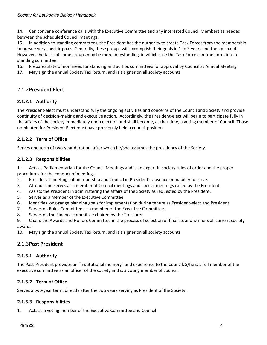14. Can convene conference calls with the Executive Committee and any interested Council Members as needed between the scheduled Council meetings.

15. In addition to standing committees, the President has the authority to create Task Forces from the membership to pursue very specific goals. Generally, these groups will accomplish their goals in 1 to 3 years and then disband. However, the tasks of some groups may be more longstanding, in which case the Task Force can transform into a standing committee.

- 16. Prepares slate of nominees for standing and ad hoc committees for approval by Council at Annual Meeting
- 17. May sign the annual Society Tax Return, and is a signer on all society accounts

### <span id="page-13-0"></span>2.1.2**President Elect**

#### **2.1.2.1 Authority**

The President-elect must understand fully the ongoing activities and concerns of the Council and Society and provide continuity of decision-making and executive action. Accordingly, the President-elect will begin to participate fully in the affairs of the society immediately upon election and shall become, at that time, a voting member of Council. Those nominated for President Elect must have previously held a council position.

### **2.1.2.2 Term of Office**

Serves one term of two-year duration, after which he/she assumes the presidency of the Society.

#### **2.1.2.3 Responsibilities**

1. Acts as Parliamentarian for the Council Meetings and is an expert in society rules of order and the proper procedures for the conduct of meetings.

- 2. Presides at meetings of membership and Council in President's absence or inability to serve.
- 3. Attends and serves as a member of Council meetings and special meetings called by the President.
- 4. Assists the President in administering the affairs of the Society as requested by the President.
- 5. Serves as a member of the Executive Committee
- 6. Identifies long-range planning goals for implementation during tenure as President-elect and President.
- 7. Serves on Rules Committee as a member of the Executive Committee.
- 8. Serves on the Finance committee chaired by the Treasurer

9. Chairs the Awards and Honors Committee in the process of selection of finalists and winners all current society awards.

10. May sign the annual Society Tax Return, and is a signer on all society accounts

#### <span id="page-13-1"></span>2.1.3**Past President**

#### **2.1.3.1 Authority**

The Past-President provides an "institutional memory" and experience to the Council. S/he is a full member of the executive committee as an officer of the society and is a voting member of council.

#### **2.1.3.2 Term of Office**

Serves a two-year term, directly after the two years serving as President of the Society.

#### **2.1.3.3 Responsibilities**

1. Acts as a voting member of the Executive Committee and Council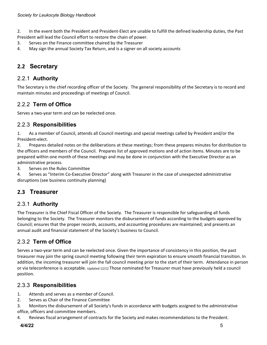2. In the event both the President and President-Elect are unable to fulfill the defined leadership duties, the Past President will lead the Council effort to restore the chain of power.

- 3. Serves on the Finance committee chaired by the Treasurer
- 4. May sign the annual Society Tax Return, and is a signer on all society accounts

# <span id="page-14-0"></span>**2.2 Secretary**

### <span id="page-14-1"></span>2.2.1 **Authority**

The Secretary is the chief recording officer of the Society. The general responsibility of the Secretary is to record and maintain minutes and proceedings of meetings of Council.

# <span id="page-14-2"></span>2.2.2 **Term of Office**

Serves a two-year term and can be reelected once.

# <span id="page-14-3"></span>2.2.3 **Responsibilities**

1. As a member of Council, attends all Council meetings and special meetings called by President and/or the President-elect.

2. Prepares detailed notes on the deliberations at these meetings; from these prepares minutes for distribution to the officers and members of the Council. Prepares list of approved motions and of action items. Minutes are to be prepared within one month of these meetings and may be done in conjunction with the Executive Director as an administrative process.

3. Serves on the Rules Committee

4. Serves as "Interim Co-Executive Director" along with Treasurer in the case of unexpected administrative disruptions (see business continuity planning)

# <span id="page-14-4"></span>**2.3 Treasurer**

# <span id="page-14-5"></span>2.3.1 **Authority**

The Treasurer is the Chief Fiscal Officer of the Society. The Treasurer is responsible for safeguarding all funds belonging to the Society. The Treasurer monitors the disbursement of funds according to the budgets approved by Council; ensures that the proper records, accounts, and accounting procedures are maintained; and presents an annual audit and financial statement of the Society's business to Council.

# <span id="page-14-6"></span>2.3.2 **Term of Office**

Serves a two-year term and can be reelected once. Given the importance of consistency in this position, the past treasurer may join the spring council meeting following their term expiration to ensure smooth financial transition. In addition, the incoming treasurer will join the fall council meeting prior to the start of their term. Attendance in person or via teleconference is acceptable. Updated 12/12 Those nominated for Treasurer must have previously held a council position.

# <span id="page-14-7"></span>2.3.3 **Responsibilities**

- 1. Attends and serves as a member of Council.
- 2. Serves as Chair of the Finance Committee
- 3. Monitors the disbursement of all Society's funds in accordance with budgets assigned to the administrative office, officers and committee members.
- 4. Reviews fiscal arrangement of contracts for the Society and makes recommendations to the President.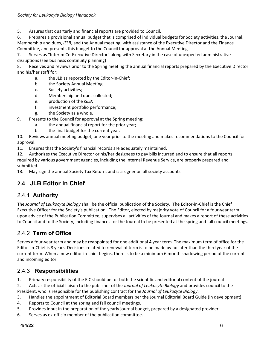5. Assures that quarterly and financial reports are provided to Council.

6. Prepares a provisional annual budget that is comprised of individual budgets for Society activities, the Journal, Membership and dues, *iSLB*, and the Annual meeting, with assistance of the Executive Director and the Finance Committee, and presents this budget to the Council for approval at the Annual Meeting

7. Serves as "Interim Co-Executive Director" along with Secretary in the case of unexpected administrative disruptions (see business continuity planning)

8. Receives and reviews prior to the Spring meeting the annual financial reports prepared by the Executive Director and his/her staff for:

- a. the JLB as reported by the Editor-in-Chief;
- b. the Society Annual Meeting
- c. Society activities;
- d. Membership and dues collected;
- e. production of the *iSLB*;
- f. investment portfolio performance;
- g. the Society as a whole.
- 9. Presents to the Council for approval at the Spring meeting:
	- a. the annual financial report for the prior year;
	- b. the final budget for the current year.

10. Reviews annual meeting budget, one year prior to the meeting and makes recommendations to the Council for approval.

11. Ensures that the Society's financial records are adequately maintained.

12. Authorizes the Executive Director or his/her designees to pay bills incurred and to ensure that all reports required by various government agencies, including the Internal Revenue Service, are properly prepared and submitted.

13. May sign the annual Society Tax Return, and is a signer on all society accounts

# <span id="page-15-0"></span>**2.4 JLB Editor in Chief**

# <span id="page-15-1"></span>2.4.1 **Authority**

The *Journal of Leukocyte Biology* shall be the official publication of the Society. The Editor-in-Chief is the Chief Executive Officer for the Society's publication. The Editor, elected by majority vote of Council for a four-year term upon advice of the Publication Committee, supervises all activities of the Journal and makes a report of these activities to Council and to the Society, including finances for the Journal to be presented at the spring and fall council meetings.

# <span id="page-15-2"></span>2.4.2 **Term of Office**

Serves a four-year term and may be reappointed for one additional 4 year term. The maximum term of office for the Editor-in-Chief is 8 years. Decisions related to renewal of term is to be made by no later than the third year of the current term. When a new editor-in-chief begins, there is to be a minimum 6 month shadowing period of the current and incoming editor.

# <span id="page-15-3"></span>2.4.3 **Responsibilities**

1. Primary responsibility of the EIC should be for both the scientific and editorial content of the journal

2. Acts as the official liaison to the publisher of the *Journal of Leukocyte Biology* and provides council to the President, who is responsible for the publishing contract for the *Journal of Leukocyte Biology*.

- 3. Handles the appointment of Editorial Board members per the Journal Editorial Board Guide (in development).
- 4. Reports to Council at the spring and fall council meetings.
- 5. Provides input in the preparation of the yearly journal budget, prepared by a designated provider.
- 6. Serves as ex-officio member of the publication committee.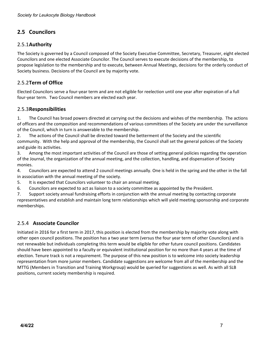# <span id="page-16-0"></span>**2.5 Councilors**

### <span id="page-16-1"></span>2.5.1**Authority**

The Society is governed by a Council composed of the Society Executive Committee, Secretary, Treasurer, eight elected Councilors and one elected Associate Councilor. The Council serves to execute decisions of the membership, to propose legislation to the membership and to execute, between Annual Meetings, decisions for the orderly conduct of Society business. Decisions of the Council are by majority vote.

### <span id="page-16-2"></span>2.5.2**Term of Office**

Elected Councilors serve a four-year term and are not eligible for reelection until one year after expiration of a full four-year term. Two Council members are elected each year.

### <span id="page-16-3"></span>2.5.3**Responsibilities**

1. The Council has broad powers directed at carrying out the decisions and wishes of the membership. The actions of officers and the composition and recommendations of various committees of the Society are under the surveillance of the Council, which in turn is answerable to the membership.

2. The actions of the Council shall be directed toward the betterment of the Society and the scientific community. With the help and approval of the membership, the Council shall set the general policies of the Society and guide its activities.

3. Among the most important activities of the Council are those of setting general policies regarding the operation of the Journal, the organization of the annual meeting, and the collection, handling, and dispensation of Society monies.

4. Councilors are expected to attend 2 council meetings annually. One is held in the spring and the other in the fall in association with the annual meeting of the society.

5. It is expected that Councilors volunteer to chair an annual meeting.

6. Councilors are expected to act as liaison to a society committee as appointed by the President.

7. Support society annual fundraising efforts in conjunction with the annual meeting by contacting corporate

representatives and establish and maintain long term relationships which will yield meeting sponsorship and corporate memberships.

### <span id="page-16-4"></span>2.5.4 **Associate Councilor**

Initiated in 2016 for a first term in 2017, this position is elected from the membership by majority vote along with other open council positions. The position has a two year term (versus the four year term of other Councilors) and is not renewable but individuals completing this term would be eligible for other future council positions. Candidates should have been appointed to a faculty or equivalent institutional position for no more than 4 years at the time of election. Tenure track is not a requirement. The purpose of this new position is to welcome into society leadership representation from more junior members. Candidate suggestions are welcome from all of the membership and the MTTG (Members in Transition and Training Workgroup) would be queried for suggestions as well. As with all SLB positions, current society membership is required.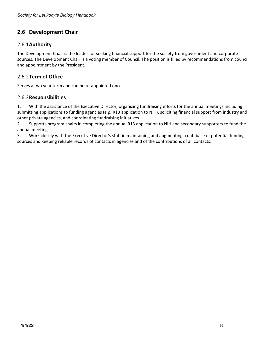# <span id="page-17-0"></span>**2.6 Development Chair**

### <span id="page-17-1"></span>2.6.1**Authority**

The Development Chair is the leader for seeking financial support for the society from government and corporate sources. The Development Chair is a voting member of Council. The position is filled by recommendations from council and appointment by the President.

### <span id="page-17-2"></span>2.6.2**Term of Office**

Serves a two year term and can be re-appointed once.

### <span id="page-17-3"></span>2.6.3**Responsibilities**

1. With the assistance of the Executive Director, organizing fundraising efforts for the annual meetings including submitting applications to funding agencies (*e.g.* R13 application to NIH), soliciting financial support from industry and other private agencies, and coordinating fundraising initiatives.

2. Supports program chairs in completing the annual R13 application to NIH and secondary supporters to fund the annual meeting.

3. Work closely with the Executive Director's staff in maintaining and augmenting a database of potential funding sources and keeping reliable records of contacts in agencies and of the contributions of all contacts.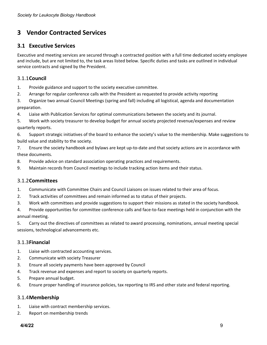# <span id="page-18-0"></span>**3 Vendor Contracted Services**

# <span id="page-18-1"></span>**3.1 Executive Services**

Executive and meeting services are secured through a contracted position with a full time dedicated society employee and include, but are not limited to, the task areas listed below. Specific duties and tasks are outlined in individual service contracts and signed by the President.

### <span id="page-18-2"></span>3.1.1**Council**

- 1. Provide guidance and support to the society executive committee.
- 2. Arrange for regular conference calls with the President as requested to provide activity reporting

3. Organize two annual Council Meetings (spring and fall) including all logistical, agenda and documentation preparation.

4. Liaise with Publication Services for optimal communications between the society and its journal.

5. Work with society treasurer to develop budget for annual society projected revenue/expenses and review quarterly reports.

6. Support strategic initiatives of the board to enhance the society's value to the membership. Make suggestions to build value and stability to the society.

7. Ensure the society handbook and bylaws are kept up-to-date and that society actions are in accordance with these documents.

- 8. Provide advice on standard association operating practices and requirements.
- 9. Maintain records from Council meetings to include tracking action items and their status.

### <span id="page-18-3"></span>3.1.2**Committees**

- 1. Communicate with Committee Chairs and Council Liaisons on issues related to their area of focus.
- 2. Track activities of committees and remain informed as to status of their projects.
- 3. Work with committees and provide suggestions to support their missions as stated in the society handbook.

4. Provide opportunities for committee conference calls and face-to-face meetings held in conjunction with the annual meeting.

5. Carry out the directives of committees as related to award processing, nominations, annual meeting special sessions, technological advancements etc.

### <span id="page-18-4"></span>3.1.3**Financial**

- 1. Liaise with contracted accounting services.
- 2. Communicate with society Treasurer
- 3. Ensure all society payments have been approved by Council
- 4. Track revenue and expenses and report to society on quarterly reports.
- 5. Prepare annual budget.
- 6. Ensure proper handling of insurance policies, tax reporting to IRS and other state and federal reporting.

### <span id="page-18-5"></span>3.1.4**Membership**

- 1. Liaise with contract membership services.
- 2. Report on membership trends

#### **4/4/22** 9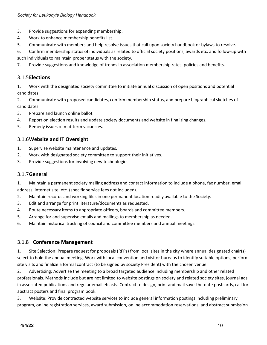- 3. Provide suggestions for expanding membership.
- 4. Work to enhance membership benefits list.
- 5. Communicate with members and help resolve issues that call upon society handbook or bylaws to resolve.
- 6. Confirm membership status of individuals as related to official society positions, awards etc. and follow-up with such individuals to maintain proper status with the society.

7. Provide suggestions and knowledge of trends in association membership rates, policies and benefits.

#### <span id="page-19-0"></span>3.1.5**Elections**

1. Work with the designated society committee to initiate annual discussion of open positions and potential candidates.

2. Communicate with proposed candidates, confirm membership status, and prepare biographical sketches of candidates.

- 3. Prepare and launch online ballot.
- 4. Report on election results and update society documents and website in finalizing changes.
- 5. Remedy issues of mid-term vacancies.

### <span id="page-19-1"></span>3.1.6**Website and IT Oversight**

- 1. Supervise website maintenance and updates.
- 2. Work with designated society committee to support their initiatives.
- 3. Provide suggestions for involving new technologies.

#### <span id="page-19-2"></span>3.1.7**General**

1. Maintain a permanent society mailing address and contact information to include a phone, fax number, email address, internet site, etc. (specific service fees not included).

- 2. Maintain records and working files in one permanent location readily available to the Society.
- 3. Edit and arrange for print literature/documents as requested.
- 4. Route necessary items to appropriate officers, boards and committee members.
- 5. Arrange for and supervise emails and mailings to membership as needed.
- 6. Maintain historical tracking of council and committee members and annual meetings.

### <span id="page-19-3"></span>3.1.8 **Conference Management**

1. Site Selection: Prepare request for proposals (RFPs) from local sites in the city where annual designated chair(s) select to hold the annual meeting. Work with local convention and visitor bureaus to identify suitable options, perform site visits and finalize a formal contract (to be signed by society President) with the chosen venue.

2. Advertising: Advertise the meeting to a broad targeted audience including membership and other related professionals. Methods include but are not limited to website postings on society and related society sites, journal ads in associated publications and regular email eblasts. Contract to design, print and mail save-the-date postcards, call for abstract posters and final program book.

3. Website: Provide contracted website services to include general information postings including preliminary program, online registration services, award submission, online accommodation reservations, and abstract submission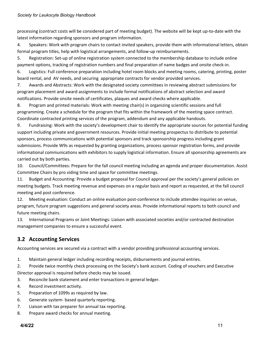processing (contract costs will be considered part of meeting budget). The website will be kept up-to-date with the latest information regarding sponsors and program information.

4. Speakers: Work with program chairs to contact invited speakers, provide them with informational letters, obtain formal program titles, help with logistical arrangements, and follow-up reimbursements.

5. Registration: Set-up of online registration system connected to the membership database to include online payment options, tracking of registration numbers and final preparation of name badges and onsite check-in.

6. Logistics: Full conference preparation including hotel room blocks and meeting rooms, catering, printing, poster board rental, and AV needs, and securing appropriate contracts for vendor provided services.

7. Awards and Abstracts: Work with the designated society committees in reviewing abstract submissions for program placement and award assignments to include formal notifications of abstract selection and award notifications. Provide onsite needs of certificates, plaques and award checks where applicable.

8. Program and printed materials: Work with meeting chair(s) in organizing scientific sessions and full programming. Create a schedule for the program that fits within the framework of the meeting space contract. Coordinate contracted printing services of the program, addendum and any applicable handouts.

9. Fundraising: Work with the society's development chair to identify the appropriate sources for potential funding support including private and government resources. Provide initial meeting prospectus to distribute to potential sponsors, process communications with potential sponsors and track sponsorship progress including grant submissions. Provide W9s as requested by granting organizations, process sponsor registration forms, and provide informational communications with exhibitors to supply logistical information. Ensure all sponsorship agreements are carried out by both parties.

10. Council/Committees: Prepare for the fall council meeting including an agenda and proper documentation. Assist Committee Chairs by pro viding time and space for committee meetings.

11. Budget and Accounting: Provide a budget proposal for Council approval per the society's general policies on meeting budgets. Track meeting revenue and expenses on a regular basis and report as requested, at the fall council meeting and post conference.

12. Meeting evaluation: Conduct an online evaluation post-conference to include attendee inquiries on venue, program, future program suggestions and general society areas. Provide informational reports to both council and future meeting chairs.

13. International Programs or Joint Meetings: Liaison with associated societies and/or contracted destination management companies to ensure a successful event.

# <span id="page-20-0"></span>**3.2 Accounting Services**

Accounting services are secured via a contract with a vendor providing professional accounting services.

1. Maintain general ledger including recording receipts, disbursements and journal entries.

2. Provide twice monthly check processing on the Society's bank account. Coding of vouchers and Executive Director approval is required before checks may be issued.

- 3. Reconcile bank statement and enter transactions in general ledger.
- 4. Record investment activity.
- 5. Preparation of 1099s as required by law.
- 6. Generate system- based quarterly reporting.
- 7. Liaison with tax preparer for annual tax reporting.
- 8. Prepare award checks for annual meeting.

#### **4/4/22** 11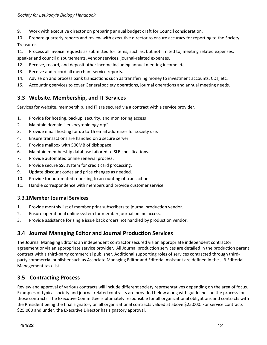9. Work with executive director on preparing annual budget draft for Council consideration.

10. Prepare quarterly reports and review with executive director to ensure accuracy for reporting to the Society Treasurer.

11. Process all invoice requests as submitted for items, such as, but not limited to, meeting related expenses, speaker and council disbursements, vendor services, journal-related expenses.

- 12. Receive, record, and deposit other income including annual meeting income etc.
- 13. Receive and record all merchant service reports.
- 14. Advise on and process bank transactions such as transferring money to investment accounts, CDs, etc.
- 15. Accounting services to cover General society operations, journal operations and annual meeting needs.

### <span id="page-21-0"></span>**3.3 Website. Membership, and IT Services**

Services for website, membership, and IT are secured via a contract with a service provider.

- 1. Provide for hosting, backup, security, and monitoring access
- 2. Maintain domain "leukocytebiology.org"
- 3. Provide email hosting for up to 15 email addresses for society use.
- 4. Ensure transactions are handled on a secure server
- 5. Provide mailbox with 500MB of disk space
- 6. Maintain membership database tailored to SLB specifications.
- 7. Provide automated online renewal process.
- 8. Provide secure SSL system for credit card processing.
- 9. Update discount codes and price changes as needed.
- 10. Provide for automated reporting to accounting of transactions.
- 11. Handle correspondence with members and provide customer service.

### <span id="page-21-1"></span>3.3.1**Member Journal Services**

- 1. Provide monthly list of member print subscribers to journal production vendor.
- 2. Ensure operational online system for member journal online access.
- 3. Provide assistance for single issue back orders not handled by production vendor.

### <span id="page-21-2"></span>**3.4 Journal Managing Editor and Journal Production Services**

The Journal Managing Editor is an independent contractor secured via an appropriate independent contractor agreement or via an appropriate service provider. All Journal production services are detailed in the production parent contract with a third-party commercial publisher. Additional supporting roles of services contracted through thirdparty commercial publisher such as Associate Managing Editor and Editorial Assistant are defined in the JLB Editorial Management task list.

# <span id="page-21-3"></span>**3.5 Contracting Process**

Review and approval of various contracts will include different society representatives depending on the area of focus. Examples of typical society and journal related contracts are provided below along with guidelines on the process for those contracts. The Executive Committee is ultimately responsible for all organizational obligations and contracts with the President being the final signatory on all organizational contracts valued at above \$25,000. For service contracts \$25,000 and under, the Executive Director has signatory approval.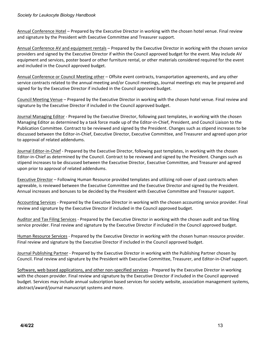#### *Society for Leukocyte Biology Handbook*

Annual Conference Hotel – Prepared by the Executive Director in working with the chosen hotel venue. Final review and signature by the President with Executive Committee and Treasurer support.

Annual Conference AV and equipment rentals – Prepared by the Executive Director in working with the chosen service providers and signed by the Executive Director if within the Council approved budget for the event. May include AV equipment and services, poster board or other furniture rental, or other materials considered required for the event and included in the Council approved budget.

Annual Conference or Council Meeting other – Offsite event contracts, transportation agreements, and any other service contracts related to the annual meeting and/or Council meetings, Journal meetings etc may be prepared and signed for by the Executive Director if included in the Council approved budget.

Council Meeting Venue – Prepared by the Executive Director in working with the chosen hotel venue. Final review and signature by the Executive Director if included in the Council approved budget.

Journal Managing Editor - Prepared by the Executive Director, following past templates, in working with the chosen Managing Editor as determined by a task force made up of the Editor-in-Chief, President, and Council Liaison to the Publication Committee. Contract to be reviewed and signed by the President. Changes such as stipend increases to be discussed between the Editor-in-Chief, Executive Director, Executive Committee, and Treasurer and agreed upon prior to approval of related addendums.

Journal Editor-in-Chief - Prepared by the Executive Director, following past templates, in working with the chosen Editor-in-Chief as determined by the Council. Contract to be reviewed and signed by the President. Changes such as stipend increases to be discussed between the Executive Director, Executive Committee, and Treasurer and agreed upon prior to approval of related addendums.

Executive Director – Following Human Resource provided templates and utilizing roll-over of past contracts when agreeable, is reviewed between the Executive Committee and the Executive Director and signed by the President. Annual increases and bonuses to be decided by the President with Executive Committee and Treasurer support.

Accounting Services - Prepared by the Executive Director in working with the chosen accounting service provider. Final review and signature by the Executive Director if included in the Council approved budget.

Auditor and Tax Filing Services - Prepared by the Executive Director in working with the chosen audit and tax filing service provider. Final review and signature by the Executive Director if included in the Council approved budget.

Human Resource Services - Prepared by the Executive Director in working with the chosen human resource provider. Final review and signature by the Executive Director if included in the Council approved budget.

Journal Publishing Partner - Prepared by the Executive Director in working with the Publishing Partner chosen by Council. Final review and signature by the President with Executive Committee, Treasurer, and Editor-in-Chief support.

Software, web based applications, and other non-specified services - Prepared by the Executive Director in working with the chosen provider. Final review and signature by the Executive Director if included in the Council approved budget. Services may include annual subscription based services for society website, association management systems, abstract/award/journal manuscript systems and more.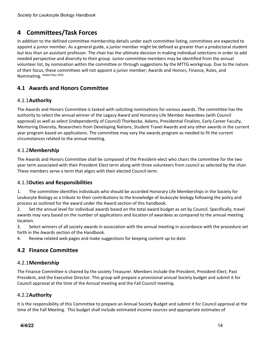# <span id="page-23-0"></span>**4 Committees/Task Forces**

In addition to the defined committee membership details under each committee listing, committees are expected to appoint a junior member. As a general guide, a junior member might be defined as greater than a predoctoral student but less than an assistant professor. The chair has the ultimate decision in making individual selections in order to add needed perspective and diversity to their group. Junior committee members may be identified from the annual volunteer list, by nomination within the committee or through suggestions by the MTTG workgroup. Due to the nature of their focus, these committees will not appoint a junior member; Awards and Honors, Finance, Rules, and Nominating. Added May 2016

# <span id="page-23-1"></span>**4.1 Awards and Honors Committee**

### <span id="page-23-2"></span>4.1.1**Authority**

The Awards and Honors Committee is tasked with soliciting nominations for various awards. The committee has the authority to select the annual winner of the Legacy Award and Honorary Life Member Awardees (with Council approval) as well as select (independently of Council) Thorbecke, Adams, Presidential Finalists, Early Career Faculty, Mentoring Diversity, Researchers from Developing Nations, Student Travel Awards and any other awards in the current year program based on applications. The committee may vary the awards program as needed to fit the current circumstances related to the annual meeting.

### <span id="page-23-3"></span>4.1.2**Membership**

The Awards and Honors Committee shall be composed of the President-elect who chairs the committee for the two year term associated with their President Elect term along with three volunteers from council as selected by the chair. These members serve a term that aligns with their elected Council term.

### <span id="page-23-4"></span>4.1.3**Duties and Responsibilities**

1. The committee identifies individuals who should be accorded Honorary Life Memberships in the Society for Leukocyte Biology as a tribute to their contributions to the knowledge of leukocyte biology following the policy and process as outlined for the award under the Award section of this handbook.

2. Set the annual level for individual awards based on the total award budget as set by Council. Specifically, travel awards may vary based on the number of applications and location of awardees as compared to the annual meeting location.

3. Select winners of all society awards in association with the annual meeting in accordance with the procedure set forth in the Awards section of the Handbook.

4. Review related web pages and make suggestions for keeping content up-to-date.

# <span id="page-23-5"></span>**4.2 Finance Committee**

### <span id="page-23-6"></span>4.2.1**Membership**

The Finance Committee is chaired by the society Treasurer. Members include the President, President-Elect, Past President, and the Executive Director. This group will prepare a provisional annual Society budget and submit it for Council approval at the time of the Annual meeting and the Fall Council meeting.

### <span id="page-23-7"></span>4.2.2**Authority**

It is the responsibility of this Committee to prepare an Annual Society Budget and submit it for Council approval at the time of the Fall Meeting. This budget shall include estimated income sources and appropriate estimates of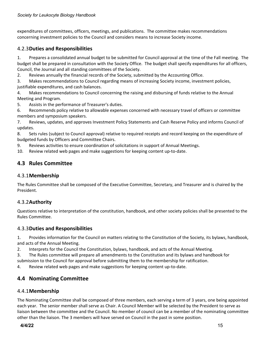expenditures of committees, officers, meetings, and publications. The committee makes recommendations concerning investment policies to the Council and considers means to increase Society income.

### <span id="page-24-0"></span>4.2.3**Duties and Responsibilities**

1. Prepares a consolidated annual budget to be submitted for Council approval at the time of the Fall meeting. The budget shall be prepared in consultation with the Society Office. The budget shall specify expenditures for all officers, Council, the Journal and all standing committees of the Society.

2. Reviews annually the financial records of the Society, submitted by the Accounting Office.

3. Makes recommendations to Council regarding means of increasing Society income, investment policies, justifiable expenditures, and cash balances.

4. Makes recommendations to Council concerning the raising and disbursing of funds relative to the Annual Meeting and Program.

5. Assists in the performance of Treasurer's duties.

6. Recommends policy relative to allowable expenses concerned with necessary travel of officers or committee members and symposium speakers.

7. Reviews, updates, and approves Investment Policy Statements and Cash Reserve Policy and informs Council of updates.

8. Sets rules (subject to Council approval) relative to required receipts and record keeping on the expenditure of budgeted funds by Officers and Committee Chairs.

9. Reviews activities to ensure coordination of solicitations in support of Annual Meetings.

10. Review related web pages and make suggestions for keeping content up-to-date.

# <span id="page-24-1"></span>**4.3 Rules Committee**

### <span id="page-24-2"></span>4.3.1**Membership**

The Rules Committee shall be composed of the Executive Committee, Secretary, and Treasurer and is chaired by the President.

### <span id="page-24-3"></span>4.3.2**Authority**

Questions relative to interpretation of the constitution, handbook, and other society policies shall be presented to the Rules Committee.

### <span id="page-24-4"></span>4.3.3**Duties and Responsibilities**

1. Provides information for the Council on matters relating to the Constitution of the Society, its bylaws, handbook, and acts of the Annual Meeting.

2. Interprets for the Council the Constitution, bylaws, handbook, and acts of the Annual Meeting.

3. The Rules committee will prepare all amendments to the Constitution and its bylaws and handbook for

submission to the Council for approval before submitting them to the membership for ratification.

4. Review related web pages and make suggestions for keeping content up-to-date.

# <span id="page-24-5"></span>**4.4 Nominating Committee**

### <span id="page-24-6"></span>4.4.1**Membership**

The Nominating Committee shall be composed of three members, each serving a term of 3 years, one being appointed each year. The senior member shall serve as Chair. A Council Member will be selected by the President to serve as liaison between the committee and the Council. No member of council can be a member of the nominating committee other than the liaison. The 3 members will have served on Council in the past in some position.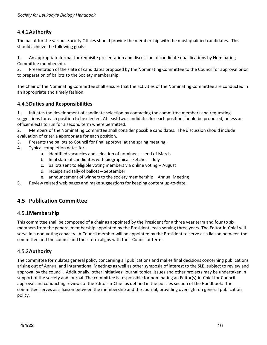### <span id="page-25-0"></span>4.4.2**Authority**

The ballot for the various Society Offices should provide the membership with the most qualified candidates. This should achieve the following goals:

1. An appropriate format for requisite presentation and discussion of candidate qualifications by Nominating Committee membership.

2. Presentation of the slate of candidates proposed by the Nominating Committee to the Council for approval prior to preparation of ballots to the Society membership.

The Chair of the Nominating Committee shall ensure that the activities of the Nominating Committee are conducted in an appropriate and timely fashion.

### <span id="page-25-1"></span>4.4.3**Duties and Responsibilities**

1. Initiates the development of candidate selection by contacting the committee members and requesting suggestions for each position to be elected. At least two candidates for each position should be proposed, unless an officer elects to run for a second term where permitted.

2. Members of the Nominating Committee shall consider possible candidates. The discussion should include evaluation of criteria appropriate for each position.

3. Presents the ballots to Council for final approval at the spring meeting.

- 4. Typical completion dates for:
	- a. identified vacancies and selection of nominees -- end of March
	- b. final slate of candidates with biographical sketches -- July
	- c. ballots sent to eligible voting members via online voting -- August
	- d. receipt and tally of ballots September
	- e. announcement of winners to the society membership Annual Meeting
- 5. Review related web pages and make suggestions for keeping content up-to-date.

# <span id="page-25-2"></span>**4.5 Publication Committee**

### <span id="page-25-3"></span>4.5.1**Membership**

This committee shall be composed of a chair as appointed by the President for a three year term and four to six members from the general membership appointed by the President, each serving three years. The Editor-in-Chief will serve in a non-voting capacity. A Council member will be appointed by the President to serve as a liaison between the committee and the council and their term aligns with their Councilor term.

### <span id="page-25-4"></span>4.5.2**Authority**

The committee formulates general policy concerning all publications and makes final decisions concerning publications arising out of Annual and International Meetings as well as other symposia of interest to the SLB, subject to review and approval by the council. Additionally, other initiatives, journal topical issues and other projects may be undertaken in support of the society and journal. The committee is responsible for nominating an Editor(s)-in-Chief for Council approval and conducting reviews of the Editor-in-Chief as defined in the policies section of the Handbook. The committee serves as a liaison between the membership and the Journal, providing oversight on general publication policy.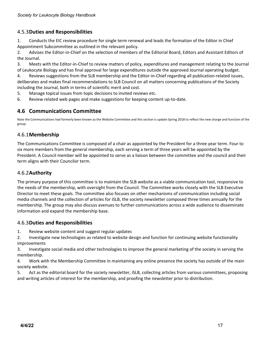### <span id="page-26-0"></span>4.5.3**Duties and Responsibilities**

1. Conducts the EIC review procedure for single term renewal and leads the formation of the Editor in Chief Appointment Subcommittee as outlined in the relevant policy.

2. Advises the Editor-in-Chief on the selection of members of the Editorial Board, Editors and Assistant Editors of the Journal.

3. Meets with the Editor-in-Chief to review matters of policy, expenditures and management relating to the Journal of Leukocyte Biology and has final approval for large expenditures outside the approved Journal operating budget.

4. Reviews suggestions from the SLB membership and the Editor-in-Chief regarding all publication-related issues, deliberates and makes final recommendations to SLB Council on all matters concerning publications of the Society including the Journal, both in terms of scientific merit and cost.

- 5. Manage topical issues from topic decisions to invited reviews etc.
- 6. Review related web pages and make suggestions for keeping content up-to-date.

### <span id="page-26-1"></span>**4.6 Communications Committee**

Note the Communications had formerly been known as the Website Committee and this section is update Spring 2018 to reflect the new charge and function of the group.

#### <span id="page-26-2"></span>4.6.1**Membership**

The Communications Committee is composed of a chair as appointed by the President for a three year term. Four to six more members from the general membership, each serving a term of three years will be appointed by the President. A Council member will be appointed to serve as a liaison between the committee and the council and their term aligns with their Councilor term.

#### <span id="page-26-3"></span>4.6.2**Authority**

The primary purpose of this committee is to maintain the SLB website as a viable communication tool, responsive to the needs of the membership, with oversight from the Council. The Committee works closely with the SLB Executive Director to meet these goals. The committee also focuses on other mechanisms of communication including social media channels and the collection of articles for iSLB, the society newsletter composed three times annually for the membership. The group may also discuss avenues to further communications across a wide audience to disseminate information and expand the membership base.

#### <span id="page-26-4"></span>4.6.3**Duties and Responsibilities**

- 1. Review website content and suggest regular updates
- 2. Investigate new technologies as related to website design and function for continuing website functionality improvements

3. Investigate social media and other technologies to improve the general marketing of the society in serving the membership.

4. Work with the Membership Committee in maintaining any online presence the society has outside of the main society website.

5. Act as the editorial board for the society newsletter, iSLB, collecting articles from various committees, proposing and writing articles of interest for the membership, and proofing the newsletter prior to distribution.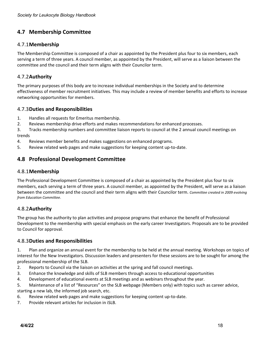# <span id="page-27-0"></span>**4.7 Membership Committee**

### <span id="page-27-1"></span>4.7.1**Membership**

The Membership Committee is composed of a chair as appointed by the President plus four to six members, each serving a term of three years. A council member, as appointed by the President, will serve as a liaison between the committee and the council and their term aligns with their Councilor term.

### <span id="page-27-2"></span>4.7.2**Authority**

The primary purposes of this body are to increase individual memberships in the Society and to determine effectiveness of member recruitment initiatives. This may include a review of member benefits and efforts to increase networking opportunities for members.

### <span id="page-27-3"></span>4.7.3**Duties and Responsibilities**

- 1. Handles all requests for Emeritus membership.
- 2. Reviews membership drive efforts and makes recommendations for enhanced processes.

3. Tracks membership numbers and committee liaison reports to council at the 2 annual council meetings on trends

- 4. Reviews member benefits and makes suggestions on enhanced programs.
- 5. Review related web pages and make suggestions for keeping content up-to-date.

# <span id="page-27-4"></span>**4.8 Professional Development Committee**

#### <span id="page-27-5"></span>4.8.1**Membership**

The Professional Development Committee is composed of a chair as appointed by the President plus four to six members, each serving a term of three years. A council member, as appointed by the President, will serve as a liaison between the committee and the council and their term aligns with their Councilor term. *Committee created in 2009 evolving from Education Committee*.

### <span id="page-27-6"></span>4.8.2**Authority**

The group has the authority to plan activities and propose programs that enhance the benefit of Professional Development to the membership with special emphasis on the early career Investigators. Proposals are to be provided to Council for approval.

### <span id="page-27-7"></span>4.8.3**Duties and Responsibilities**

1. Plan and organize an annual event for the membership to be held at the annual meeting. Workshops on topics of interest for the New Investigators. Discussion leaders and presenters for these sessions are to be sought for among the professional membership of the SLB.

- 2. Reports to Council via the liaison on activities at the spring and fall council meetings.
- 3. Enhance the knowledge and skills of SLB members through access to educational opportunities
- 4. Development of educational events at SLB meetings and as webinars throughout the year.
- 5. Maintenance of a list of "Resources" on the SLB webpage (Members only) with topics such as career advice, starting a new lab, the informed job search, etc.
- 6. Review related web pages and make suggestions for keeping content up-to-date.
- 7. Provide relevant articles for inclusion in iSLB.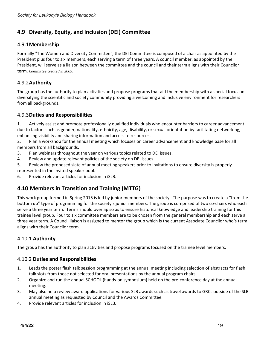# <span id="page-28-0"></span>**4.9 Diversity, Equity, and Inclusion (DEI) Committee**

#### <span id="page-28-1"></span>4.9.1**Membership**

Formally "The Women and Diversity Committee", the DEI Committee is composed of a chair as appointed by the President plus four to six members, each serving a term of three years. A council member, as appointed by the President, will serve as a liaison between the committee and the council and their term aligns with their Councilor term. *Committee created in 2009*.

### <span id="page-28-2"></span>4.9.2**Authority**

The group has the authority to plan activities and propose programs that aid the membership with a special focus on diversifying the scientific and society community providing a welcoming and inclusive environment for researchers from all backgrounds.

#### <span id="page-28-3"></span>4.9.3**Duties and Responsibilities**

1. Actively assist and promote professionally qualified individuals who encounter barriers to career advancement due to factors such as gender, nationality, ethnicity, age, disability, or sexual orientation by facilitating networking, enhancing visibility and sharing information and access to resources.

2. Plan a workshop for the annual meeting which focuses on career advancement and knowledge base for all members from all backgrounds.

- 3. Plan webinars throughout the year on various topics related to DEI issues.
- 4. Review and update relevant policies of the society on DEI issues.
- 5. Review the proposed slate of annual meeting speakers prior to invitations to ensure diversity is properly represented in the invited speaker pool.
- 6. Provide relevant articles for inclusion in iSLB.

# <span id="page-28-4"></span>**4.10 Members in Transition and Training (MTTG)**

This work group formed in Spring 2015 is led by junior members of the society. The purpose was to create a "from the bottom up" type of programming for the society's junior members. The group is comprised of two co-chairs who each serve a three year term. Terms should overlap so as to ensure historical knowledge and leadership training for this trainee level group. Four to six committee members are to be chosen from the general membership and each serve a three year term. A Council liaison is assigned to mentor the group which is the current Associate Councilor who's term aligns with their Councilor term.

### <span id="page-28-5"></span>4.10.1 **Authority**

The group has the authority to plan activities and propose programs focused on the trainee level members.

#### <span id="page-28-6"></span>4.10.2 **Duties and Responsibilities**

- 1. Leads the poster flash talk session programming at the annual meeting including selection of abstracts for flash talk slots from those not selected for oral presentations by the annual program chairs.
- 2. Organize and run the annual SCHOOL (hands-on symposium) held on the pre-conference day at the annual meeting.
- 3. May also help review award applications for various SLB awards such as travel awards to GRCs outside of the SLB annual meeting as requested by Council and the Awards Committee.
- 4. Provide relevant articles for inclusion in iSLB.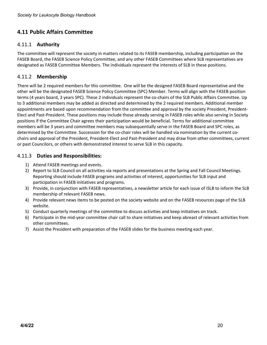# <span id="page-29-0"></span>**4.11 Public Affairs Committee**

### <span id="page-29-1"></span>4.11.1 **Authority**

The committee will represent the society in matters related to its FASEB membership, including participation on the FASEB Board, the FASEB Science Policy Committee, and any other FASEB Committees where SLB representatives are designated as FASEB Committee Members. The individuals represent the interests of SLB in these positions.

### <span id="page-29-2"></span>4.11.2 **Membership**

There will be 2 required members for this committee. One will be the designed FASEB Board representative and the other will be the designated FASEB Science Policy Committee (SPC) Member. Terms will align with the FASEB position terms (4 years board, 3 years SPC). These 2 individuals represent the co-chairs of the SLB Public Affairs Committee. Up to 3 additional members may be added as directed and determined by the 2 required members. Additional member appointments are based upon recommendation from the committee and approval by the society President, President-Elect and Past-President. These positions may include those already serving in FASEB roles while also serving in Society positions if the Committee Chair agrees their participation would be beneficial. Terms for additional committee members will be 3 years and committee members may subsequentially serve in the FASEB Board and SPC roles, as determined by the Committee. Succession for the co-chair roles will be handled via nomination by the current cochairs and approval of the President, President-Elect and Past-President and may draw from other committees, current or past Councilors, or others with demonstrated interest to serve SLB in this capacity.

### <span id="page-29-3"></span>4.11.3 **Duties and Responsibilities:**

- 1) Attend FASEB meetings and events.
- 2) Report to SLB Council on all activities via reports and presentations at the Spring and Fall Council Meetings. Reporting should include FASEB programs and activities of interest, opportunities for SLB input and participation in FASEB initiatives and programs.
- 3) Provide, in conjunction with FASEB representatives, a newsletter article for each issue of iSLB to inform the SLB membership of relevant FASEB news.
- 4) Provide relevant news items to be posted on the society website and on the FASEB resources page of the SLB website.
- 5) Conduct quarterly meetings of the committee to discuss activities and keep initiatives on track.
- 6) Participate in the mid-year committee chair call to share initiatives and keep abreast of relevant activities from other committees.
- 7) Assist the President with preparation of the FASEB slides for the business meeting each year.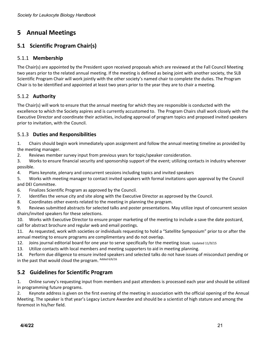# <span id="page-30-0"></span>**5 Annual Meetings**

# <span id="page-30-1"></span>**5.1 Scientific Program Chair(s)**

### <span id="page-30-2"></span>5.1.1 **Membership**

The Chair(s) are appointed by the President upon received proposals which are reviewed at the Fall Council Meeting two years prior to the related annual meeting. If the meeting is defined as being joint with another society, the SLB Scientific Program Chair will work jointly with the other society's named chair to complete the duties. The Program Chair is to be identified and appointed at least two years prior to the year they are to chair a meeting.

### <span id="page-30-3"></span>5.1.2 **Authority**

The Chair(s) will work to ensure that the annual meeting for which they are responsible is conducted with the excellence to which the Society aspires and is currently accustomed to. The Program Chairs shall work closely with the Executive Director and coordinate their activities, including approval of program topics and proposed invited speakers prior to invitation, with the Council.

### <span id="page-30-4"></span>5.1.3 **Duties and Responsibilities**

1. Chairs should begin work immediately upon assignment and follow the annual meeting timeline as provided by the meeting manager.

2. Reviews member survey input from previous years for topic/speaker consideration.

3. Works to ensure financial security and sponsorship support of the event; utilizing contacts in industry wherever possible.

4. Plans keynote, plenary and concurrent sessions including topics and invited speakers

5. Works with meeting manager to contact invited speakers with formal invitations upon approval by the Council and DEI Committee.

6. Finalizes Scientific Program as approved by the Council.

7. Identifies the venue city and site along with the Executive Director as approved by the Council.

8. Coordinates other events related to the meeting in planning the program.

9. Reviews submitted abstracts for selected talks and poster presentations. May utilize input of concurrent session chairs/invited speakers for these selections.

10. Works with Executive Director to ensure proper marketing of the meeting to include a save the date postcard, call for abstract brochure and regular web and email postings.

11. As requested, work with societies or individuals requesting to hold a "Satellite Symposium" prior to or after the annual meeting to ensure programs are complimentary and do not overlap.

- 12. Joins journal editorial board for one year to serve specifically for the meeting issue. Updated 11/9/15
- 13. Utilize contacts with local members and meeting supporters to aid in meeting planning.

14. Perform due diligence to ensure invited speakers and selected talks do not have issues of misconduct pending or in the past that would cloud the program.  $^{Added\,6/6/16}$ 

# <span id="page-30-5"></span>**5.2 Guidelines for Scientific Program**

1. Online survey's requesting input from members and past attendees is processed each year and should be utilized in programming future programs.

2. Keynote address is given on the first evening of the meeting in association with the official opening of the Annual Meeting. The speaker is that year's Legacy Lecture Awardee and should be a scientist of high stature and among the foremost in his/her field.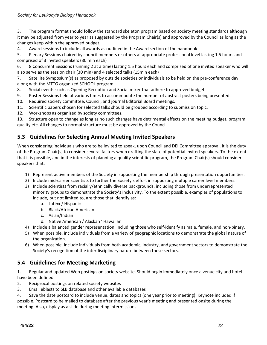3. The program format should follow the standard skeleton program based on society meeting standards although it may be adjusted from year to year as suggested by the Program Chair(s) and approved by the Council as long as the changes keep within the approved budget.

4. Award sessions to include all awards as outlined in the Award section of the handbook

5. Plenary Sessions chaired by council members or others at appropriate professional level lasting 1.5 hours and comprised of 3 invited speakers (30 min each)

6. 8 Concurrent Sessions (running 2 at a time) lasting 1.5 hours each and comprised of one invited speaker who will also serve as the session chair (30 min) and 4 selected talks (15min each)

7. Satellite Symposium(s) as proposed by outside societies or individuals to be held on the pre-conference day along with the MTTG organized SCHOOL program.

8. Social events such as Opening Reception and Social mixer that adhere to approved budget

- 9. Poster Sessions held at various times to accommodate the number of abstract posters being presented.
- 10. Required society committee, Council, and journal Editorial Board meetings.
- 11. Scientific papers chosen for selected talks should be grouped according to submission topic.
- 12. Workshops as organized by society committees.

13. Structure open to change as long as no such changes have detrimental effects on the meeting budget, program quality etc. All changes to normal structure must be approved by the Council.

### <span id="page-31-0"></span>**5.3 Guidelines for Selecting Annual Meeting Invited Speakers**

When considering individuals who are to be invited to speak, upon Council and DEI Committee approval, it is the duty of the Program Chair(s) to consider several factors when drafting the slate of potential invited speakers. To the extent that it is possible, and in the interests of planning a quality scientific program, the Program Chair(s) should consider speakers that:

- 1) Represent active members of the Society in supporting the membership through presentation opportunities.
- 2) Include mid-career scientists to further the Society's effort in supporting multiple career level members.
- 3) Include scientists from racially/ethnically diverse backgrounds, including those from underrepresented minority groups to demonstrate the Society's inclusivity. To the extent possible, examples of populations to include, but not limited to, are those that identify as:
	- a. Latinx / Hispanic
	- b. Black/African American
	- c. Asian/Indian
	- d. Native American / Alaskan ' Hawaiian
- 4) Include a balanced gender representation, including those who self-identify as male, female, and non-binary.
- 5) When possible, include individuals from a variety of geographic locations to demonstrate the global nature of the organization.
- 6) When possible, include individuals from both academic, industry, and government sectors to demonstrate the Society's recognition of the interdisciplinary nature between these sectors.

# <span id="page-31-1"></span>**5.4 Guidelines for Meeting Marketing**

1. Regular and updated Web postings on society website. Should begin immediately once a venue city and hotel have been defined.

- 2. Reciprocal postings on related society websites
- 3. Email eblasts to SLB database and other available databases

4. Save the date postcard to include venue, dates and topics (one year prior to meeting). Keynote included if possible. Postcard to be mailed to database after the previous year's meeting and presented onsite during the meeting. Also, display as a slide during meeting intermissions.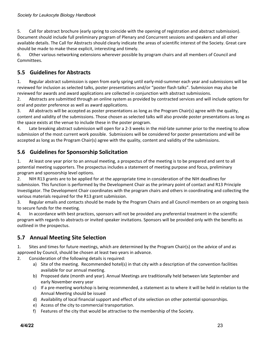5. Call for abstract brochure (early spring to coincide with the opening of registration and abstract submission). Document should include full preliminary program of Plenary and Concurrent sessions and speakers and all other available details. The Call for Abstracts should clearly indicate the areas of scientific interest of the Society. Great care should be made to make these explicit, interesting and timely.

6. Other various networking extensions wherever possible by program chairs and all members of Council and Committees.

# <span id="page-32-0"></span>**5.5 Guidelines for Abstracts**

1. Regular abstract submission is open from early spring until early-mid-summer each year and submissions will be reviewed for inclusion as selected talks, poster presentations and/or "poster flash talks". Submission may also be reviewed for awards and award applications are collected in conjunction with abstract submissions.

2. Abstracts are submitted through an online system as provided by contracted services and will include options for oral and poster preference as well as award applications.

3. All abstracts will be accepted as poster presentations as long as the Program Chair(s) agree with the quality, content and validity of the submissions. Those chosen as selected talks will also provide poster presentations as long as the space exists at the venue to include these in the poster program.

4. Late breaking abstract submission will open for a 2-3 weeks in the mid-late summer prior to the meeting to allow submission of the most current work possible. Submissions will be considered for poster presentations and will be accepted as long as the Program Chair(s) agree with the quality, content and validity of the submissions.

# <span id="page-32-1"></span>**5.6 Guidelines for Sponsorship Solicitation**

1. At least one year prior to an annual meeting, a prospectus of the meeting is to be prepared and sent to all potential meeting supporters. The prospectus includes a statement of meeting purpose and focus, preliminary program and sponsorship level options.

2. NIH R13 grants are to be applied for at the appropriate time in consideration of the NIH deadlines for submission. This function is performed by the Development Chair as the primary point of contact and R13 Principle Investigator. The Development Chair coordinates with the program chairs and others in coordinating and collecting the various materials required for the R13 grant submission.

3. Regular emails and contacts should be made by the Program Chairs and all Council members on an ongoing basis to secure funds for the meeting.

4. In accordance with best practices, sponsors will not be provided any preferential treatment in the scientific program with regards to abstracts or invited speaker invitations. Sponsors will be provided only with the benefits as outlined in the prospectus.

# <span id="page-32-2"></span>**5.7 Annual Meeting Site Selection**

1. Sites and times for future meetings, which are determined by the Program Chair(s) on the advice of and as approved by Council, should be chosen at least two years in advance.

2. Consideration of the following details is required:

- a) Site of the meeting. Recommended hotel(s) in that city with a description of the convention facilities available for our annual meeting.
- b) Proposed date (month and year). Annual Meetings are traditionally held between late September and early November every year
- c) If a pre-meeting workshop is being recommended, a statement as to where it will be held in relation to the Annual Meeting should be issued
- d) Availability of local financial support and effect of site selection on other potential sponsorships.
- e) Access of the city to commercial transportation.
- f) Features of the city that would be attractive to the membership of the Society.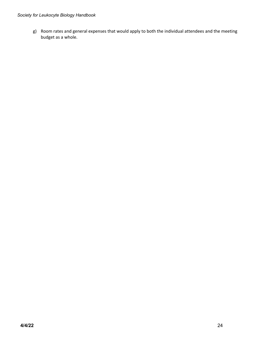#### *Society for Leukocyte Biology Handbook*

g) Room rates and general expenses that would apply to both the individual attendees and the meeting budget as a whole.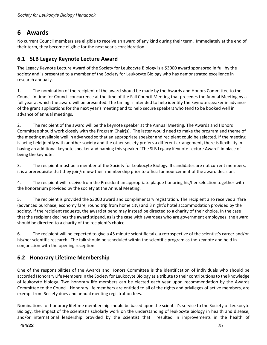# <span id="page-34-0"></span>**6 Awards**

No current Council members are eligible to receive an award of any kind during their term. Immediately at the end of their term, they become eligible for the next year's consideration.

# <span id="page-34-1"></span>**6.1 SLB Legacy Keynote Lecture Award**

The Legacy Keynote Lecture Award of the Society for Leukocyte Biology is a \$3000 award sponsored in full by the society and is presented to a member of the Society for Leukocyte Biology who has demonstrated excellence in research annually.

1. The nomination of the recipient of the award should be made by the Awards and Honors Committee to the Council in time for Council concurrence at the time of the Fall Council Meeting that precedes the Annual Meeting by a full year at which the award will be presented. The timing is intended to help identify the keynote speaker in advance of the grant applications for the next year's meeting and to help secure speakers who tend to be booked well in advance of annual meetings.

2. The recipient of the award will be the keynote speaker at the Annual Meeting**.** The Awards and Honors Committee should work closely with the Program Chair(s). The latter would need to make the program and theme of the meeting available well in advanced so that an appropriate speaker and recipient could be selected. If the meeting is being held jointly with another society and the other society prefers a different arrangement, there is flexibility in having an additional keynote speaker and naming this speaker "The SLB Legacy Keynote Lecture Award" in place of being the keynote.

3. The recipient must be a member of the Society for Leukocyte Biology. If candidates are not current members, it is a prerequisite that they join/renew their membership prior to official announcement of the award decision.

4. The recipient will receive from the President an appropriate plaque honoring his/her selection together with the honorarium provided by the society at the Annual Meeting.

5. The recipient is provided the \$3000 award and complimentary registration. The recipient also receives airfare (advanced purchase, economy fare, round trip from home city) and 3 night's hotel accommodation provided by the society. If the recipient requests, the award stipend may instead be directed to a charity of their choice. In the case that the recipient declines the award stipend, as is the case with awardees who are government employees, the award should be directed to a charity of the recipient's choice.

6. The recipient will be expected to give a 45 minute scientific talk, a retrospective of the scientist's career and/or his/her scientific research. The talk should be scheduled within the scientific program as the keynote and held in conjunction with the opening reception.

# <span id="page-34-2"></span>**6.2 Honorary Lifetime Membership**

One of the responsibilities of the Awards and Honors Committee is the identification of individuals who should be accorded Honorary Life Members in the Society for Leukocyte Biology as a tribute to their contributions to the knowledge of leukocyte biology. Two honorary life members can be elected each year upon recommendation by the Awards Committee to the Council. Honorary life members are entitled to all of the rights and privileges of active members, are exempt from Society dues and annual meeting registration fees.

Nominations for honorary lifetime membership should be based upon the scientist's service to the Society of Leukocyte Biology, the impact of the scientist's scholarly work on the understanding of leukocyte biology in health and disease, and/or international leadership provided by the scientist that resulted in improvements in the health of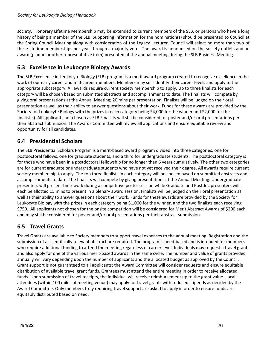society. Honorary Lifetime Membership may be extended to current members of the SLB, or persons who have a long history of being a member of the SLB. Supporting information for the nomination(s) should be presented to Council at the Spring Council Meeting along with consideration of the Legacy Lecturer. Council will select no more than two of these lifetime memberships per year through a majority vote. The award is announced on the society outlets and an award (plaque or other representative item) presented at the annual meeting during the SLB Business Meeting.

# <span id="page-35-0"></span>**6.3 Excellence in Leukocyte Biology Awards**

The SLB Excellence in Leukocyte Biology (ELB) program is a merit award program created to recognize excellence in the work of our early career and mid-career members. Members may self-identify their career levels and apply to the appropriate subcategory. All awards require current society membership to apply. Up to three finalists for each category will be chosen based on submitted abstracts and accomplishments to date. The finalists will compete by giving oral presentations at the Annual Meeting; 20 mins per presentation. Finalists will be judged on their oral presentation as well as their ability to answer questions about their work. Funds for these awards are provided by the Society for Leukocyte Biology with the prizes in each category being \$4,000 for the winner and \$2,000 for the finalist(s). All applicants not chosen as ELB Finalists will still be considered for poster and/or oral presentations per their abstract submission. The Awards Committee will review all applications and ensure equitable review and opportunity for all candidates.

# <span id="page-35-1"></span>**6.4 Presidential Scholars**

The SLB Presidential Scholars Program is a merit-based award program divided into three categories, one for postdoctoral fellows, one for graduate students, and a third for undergraduate students. The postdoctoral category is for those who have been in a postdoctoral fellowship for no longer than 6 years cumulatively. The other two categories are for current graduate or undergraduate students who have not yet received their degree. All awards require current society membership to apply. The top three finalists in each category will be chosen based on submitted abstracts and accomplishments to date. The finalists will compete by giving presentations at the Annual Meeting. Undergraduate presenters will present their work during a competitive poster session while Graduate and Postdoc presenters will each be allotted 15 mins to present in a plenary award session. Finalists will be judged on their oral presentation as well as their ability to answer questions about their work. Funds for these awards are provided by the Society for Leukocyte Biology with the prizes in each category being \$1,000 for the winner, and the two finalists each receiving \$750. All applicants not chosen for the onsite competition will be considered for Merit Abstract Awards of \$200 each and may still be considered for poster and/or oral presentations per their abstract submission.

# <span id="page-35-2"></span>**6.5 Travel Grants**

Travel Grants are available to Society members to support travel expenses to the annual meeting. Registration and the submission of a scientifically relevant abstract are required. The program is need-based and is intended for members who require additional funding to attend the meeting regardless of career level. Individuals may request a travel grant and also apply for one of the various merit-based awards in the same cycle. The number and value of grants provided annually will vary depending upon the number of applicants and the allocated budget as approved by the Council. Grant support is not guaranteed to all applicants; the Award Committee will consider requests and ensure equitable distribution of available travel grant funds. Grantees must attend the entire meeting in order to receive allocated funds. Upon submission of travel receipts, the individual will receive reimbursement up to the grant value. Local attendees (within 100 miles of meeting venue) may apply for travel grants with reduced stipends as decided by the Award Committee. Only members truly requiring travel support are asked to apply in order to ensure funds are equitably distributed based on need.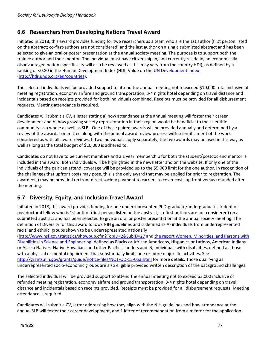# <span id="page-36-0"></span>**6.6 Researchers from Developing Nations Travel Award**

Initiated in 2018, this award provides funding for two researchers as a team who are the 1st author (first person listed on the abstract; co-first-authors are not considered) and the last author on a single submitted abstract and has been selected to give an oral or poster presentation at the annual society meeting. The purpose is to support both the trainee author and their mentor. The individual must have citizenship in, and currently reside in, an economicallydisadvantaged nation (specific city will also be reviewed as this may vary from the country HDI), as defined by a ranking of <0.80 in the Human Development Index (HDI) Value on the [UN Development Index](http://hdr.undp.org/en/countries) [\(http://hdr.undp.org/en/countries\)](http://hdr.undp.org/en/countries).

The selected individuals will be provided support to attend the annual meeting not to exceed \$10,000 total inclusive of meeting registration, economy airfare and ground transportation, 3-4 nights hotel depending on travel distance and incidentals based on receipts provided for both individuals combined. Receipts must be provided for all disbursement requests. Meeting attendance is required.

Candidates will submit a CV, a letter stating a) how attendance at the annual meeting will foster their career development and b) how growing society representation in their region would be beneficial to the scientific community as a whole as well as SLB. One of these paired awards will be provided annually and determined by a review of the awards committee along with the annual award review process with scientific merit of the work considered as with all award reviews. If two individuals apply separately, the two awards may be used in this way as well as long as the total budget of \$10,000 is adhered to.

Candidates do not have to be current members and a 1 year membership for both the student/postdoc and mentor is included in the award. Both individuals will be highlighted in the newsletter and on the website. If only one of the individuals of the pair can attend, coverage will be provided up to the \$5,000 limit for the one author. In recognition of the challenges that upfront costs may pose, this is the only award that may be applied for prior to registration. The awardee(s) may be provided up front direct society payment to carriers to cover costs up front versus refunded after the meeting.

# <span id="page-36-1"></span>**6.7 Diversity, Equity, and Inclusion Travel Award**

Initiated in 2018, this award provides funding for one underrepresented PhD-graduate/undergraduate student or postdoctoral fellow who is 1st author (first person listed on the abstract; co-first-authors are not considered) on a submitted abstract and has been selected to give an oral or poster presentation at the annual society meeting. The definition of Diversity for this award follows NIH guidelines and is defined as A) individuals from underrepresented racial and ethnic groups shown to be underrepresented nationally

[\(http://www.nsf.gov/statistics/showpub.cfm?TopID=2&SubID=27](http://www.nsf.gov/statistics/showpub.cfm?TopID=2&SubID=27) an[d the report Women, Minorities, and Persons with](https://www.nsf.gov/statistics/women/)  [Disabilities in Science and Engineering\)](https://www.nsf.gov/statistics/women/) defined as Blacks or African Americans, Hispanics or Latinos, American Indians or Alaska Natives, Native Hawaiians and other Pacific Islanders and B) individuals with disabilities, defined as those with a physical or mental impairment that substantially limits one or more major life activities. Se[e](https://www.leukocytebiology.org/%20http:/grants.nih.gov/grants/guide/notice-files/NOT-OD-15-053.html) [http://grants.nih.gov/grants/guide/notice-files/NOT-OD-15-053.html](https://www.leukocytebiology.org/%20http:/grants.nih.gov/grants/guide/notice-files/NOT-OD-15-053.html) for more details. Those qualifying as underrepresented socio-economic groups are also eligible provided written description of the background challenges.

The selected individual will be provided support to attend the annual meeting not to exceed \$3,000 inclusive of refunded meeting registration, economy airfare and ground transportation, 3-4 nights hotel depending on travel distance and incidentals based on receipts provided. Receipts must be provided for all disbursement requests. Meeting attendance is required.

Candidates will submit a CV, letter addressing how they align with the NIH guidelines and how attendance at the annual SLB will foster their career development, and 1 letter of recommendation from a mentor for the application.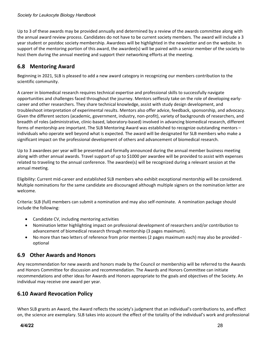Up to 3 of these awards may be provided annually and determined by a review of the awards committee along with the annual award review process. Candidates do not have to be current society members. The award will include a 3 year student or postdoc society membership. Awardees will be highlighted in the newsletter and on the website. In support of the mentoring portion of this award, the awardee(s) will be paired with a senior member of the society to host them during the annual meeting and support their networking efforts at the meeting.

# <span id="page-37-0"></span>**6.8 Mentoring Award**

Beginning in 2021, SLB is pleased to add a new award category in recognizing our members contribution to the scientific community.

A career in biomedical research requires technical expertise and professional skills to successfully navigate opportunities and challenges faced throughout the journey. Mentors selflessly take on the role of developing earlycareer and other researchers. They share technical knowledge, assist with study design development, and troubleshoot interpretation of experimental results. Mentors also offer advice, feedback, sponsorship, and advocacy. Given the different sectors (academic, government, industry, non-profit), variety of backgrounds of researchers, and breadth of roles (administrative, clinic-based, laboratory-based) involved in advancing biomedical research, different forms of mentorship are important. The SLB Mentoring Award was established to recognize outstanding mentors – individuals who operate well beyond what is expected. The award will be designated for SLB members who make a significant impact on the professional development of others and advancement of biomedical research.

Up to 3 awardees per year will be presented and formally announced during the annual member business meeting along with other annual awards. Travel support of up to \$1000 per awardee will be provided to assist with expenses related to traveling to the annual conference. The awardee(s) will be recognized during a relevant session at the annual meeting.

Eligibility: Current mid-career and established SLB members who exhibit exceptional mentorship will be considered. Multiple nominations for the same candidate are discouraged although multiple signers on the nomination letter are welcome.

Criteria: SLB (full) members can submit a nomination and may also self-nominate. A nomination package should include the following:

- Candidate CV, including mentoring activities
- Nomination letter highlighting impact on professional development of researchers and/or contribution to advancement of biomedical research through mentorship (3 pages maximum).
- No more than two letters of reference from prior mentees (2 pages maximum each) may also be provided optional

# <span id="page-37-1"></span>**6.9 Other Awards and Honors**

Any recommendation for new awards and honors made by the Council or membership will be referred to the Awards and Honors Committee for discussion and recommendation. The Awards and Honors Committee can initiate recommendations and other ideas for Awards and Honors appropriate to the goals and objectives of the Society. An individual may receive one award per year.

# <span id="page-37-2"></span>**6.10 Award Revocation Policy**

When SLB grants an Award, the Award reflects the society's judgment that an individual's contributions to, and effect on, the science are exemplary. SLB takes into account the effect of the totality of the individual's work and professional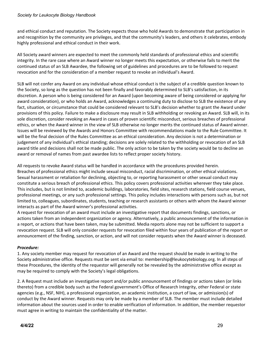#### *Society for Leukocyte Biology Handbook*

and ethical conduct and reputation. The Society expects those who hold Awards to demonstrate that participation in and recognition by the community are privileges, and that the community's leaders, and others it celebrates, embody highly professional and ethical conduct in their work.

All Society award winners are expected to meet the commonly held standards of professional ethics and scientific integrity. In the rare case where an Award winner no longer meets this expectation, or otherwise fails to merit the continued status of an SLB Awardee, the following set of guidelines and procedures are to be followed to request revocation and for the consideration of a member request to revoke an individual's Award.

SLB will not confer any Award on any individual whose ethical conduct is the subject of a credible question known to the Society, so long as the question has not been finally and favorably determined to SLB's satisfaction, in its discretion. A person who is being considered for an Award (upon becoming aware of being considered or applying for award consideration), or who holds an Award, acknowledges a continuing duty to disclose to SLB the existence of any fact, situation, or circumstance that could be considered relevant to SLB's decision whether to grant the Award under provisions of this policy. Failure to make a disclosure may result in SLB withholding or revoking an Award. SLB will, in its sole discretion, consider revoking an Award in cases of proven scientific misconduct, serious breaches of professional ethics, or when the Award winner in the view of SLB otherwise no longer merits the continued status of Award winner. Issues will be reviewed by the Awards and Honors Committee with recommendations made to the Rule Committee. It will be the final decision of the Rules Committee as an ethical consideration. Any decision is not a determination or judgement of any individual's ethical standing; decisions are solely related to the withholding or revocation of an SLB award title and decisions shall not be made public. The only action to be taken by the society would be to decline an award or removal of names from past awardee lists to reflect proper society history.

All requests to revoke Award status will be handled in accordance with the procedures provided herein. Breaches of professional ethics might include sexual misconduct, racial discrimination, or other ethical violations. Sexual harassment or retaliation for declining, objecting to, or reporting harassment or other sexual conduct may constitute a serious breach of professional ethics. This policy covers professional activities wherever they take place. This includes, but is not limited to, academic buildings, laboratories, field sites, research stations, field course venues, professional meetings, or any such professional settings. This policy includes interactions with persons such as, but not limited to, colleagues, subordinates, students, teaching or research assistants or others with whom the Award winner interacts as part of the Award winner's professional activities.

A request for revocation of an award must include an investigative report that documents findings, sanctions, or actions taken from an independent organization or agency. Alternatively, a public announcement of the information in a report, or actions that have been taken, may be submitted. Media reports alone may not be sufficient to support a revocation request. SLB will only consider requests for revocation filed within four years of publication of the report or announcement of the finding, sanction, or action, and will not consider requests when the Award winner is deceased.

#### *Procedure:*

1. Any society member may request for revocation of an Award and the request should be made in writing to the Society administrative office. Requests must be sent via email to: membership@leukocytebiology.org. In all steps of these Procedures, the identity of the requestor will generally not be revealed by the administrative office except as may be required to comply with the Society's legal obligations.

2. A Request must include an investigative report and/or public announcement of findings or actions taken (or links thereto) from a credible body such as the Federal government's Office of Research Integrity, other Federal or state agencies (e.g., NSF, NIH), a professional organization, an academic institution, a court of law, or admission(s) of conduct by the Award winner. Requests may only be made by a member of SLB. The member must include detailed information about the sources used in order to enable verification of information. In addition, the member requestor must agree in writing to maintain the confidentiality of the matter.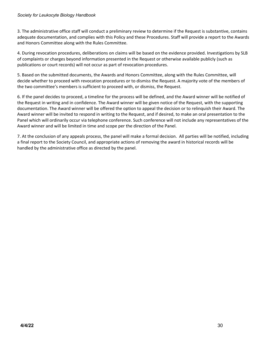#### *Society for Leukocyte Biology Handbook*

3. The administrative office staff will conduct a preliminary review to determine if the Request is substantive, contains adequate documentation, and complies with this Policy and these Procedures. Staff will provide a report to the Awards and Honors Committee along with the Rules Committee.

4. During revocation procedures, deliberations on claims will be based on the evidence provided. Investigations by SLB of complaints or charges beyond information presented in the Request or otherwise available publicly (such as publications or court records) will not occur as part of revocation procedures.

5. Based on the submitted documents, the Awards and Honors Committee, along with the Rules Committee, will decide whether to proceed with revocation procedures or to dismiss the Request. A majority vote of the members of the two committee's members is sufficient to proceed with, or dismiss, the Request.

6. If the panel decides to proceed, a timeline for the process will be defined, and the Award winner will be notified of the Request in writing and in confidence. The Award winner will be given notice of the Request, with the supporting documentation. The Award winner will be offered the option to appeal the decision or to relinquish their Award. The Award winner will be invited to respond in writing to the Request, and if desired, to make an oral presentation to the Panel which will ordinarily occur via telephone conference. Such conference will not include any representatives of the Award winner and will be limited in time and scope per the direction of the Panel.

7. At the conclusion of any appeals process, the panel will make a formal decision. All parties will be notified, including a final report to the Society Council, and appropriate actions of removing the award in historical records will be handled by the administrative office as directed by the panel.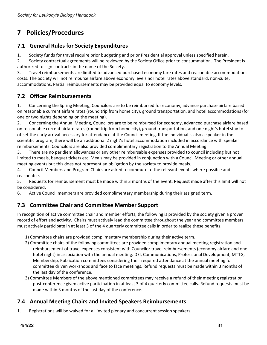# <span id="page-40-0"></span>**7 Policies/Procedures**

# <span id="page-40-1"></span>**7.1 General Rules for Society Expenditures**

1. Society funds for travel require prior budgeting and prior Presidential approval unless specified herein.

2. Society contractual agreements will be reviewed by the Society Office prior to consummation. The President is authorized to sign contracts in the name of the Society.

3. Travel reimbursements are limited to advanced purchased economy fare rates and reasonable accommodations costs. The Society will not reimburse airfare above economy levels nor hotel rates above standard, non-suite, accommodations. Partial reimbursements may be provided equal to economy levels.

# <span id="page-40-2"></span>**7.2 Officer Reimbursements**

1. Concerning the Spring Meeting, Councilors are to be reimbursed for economy, advance purchase airfare based on reasonable current airfare rates (round trip from home city), ground transportation, and hotel accommodations (for one or two nights depending on the meeting).

2. Concerning the Annual Meeting, Councilors are to be reimbursed for economy, advanced purchase airfare based on reasonable current airfare rates (round trip from home city), ground transportation, and one night's hotel stay to offset the early arrival necessary for attendance at the Council meeting. If the individual is also a speaker in the scientific program, there will be an additional 2 night's hotel accommodation included in accordance with speaker reimbursements. Councilors are also provided complimentary registration to the Annual Meeting.

3. There are no per diem allowances or any other reimbursable expenses provided to council including but not limited to meals, banquet tickets etc. Meals may be provided in conjunction with a Council Meeting or other annual meeting events but this does not represent an obligation by the society to provide meals.

4. Council Members and Program Chairs are asked to commute to the relevant events where possible and reasonable.

5. Requests for reimbursement must be made within 3 months of the event. Request made after this limit will not be considered.

6. Active Council members are provided complimentary membership during their assigned term.

# <span id="page-40-3"></span>**7.3 Committee Chair and Committee Member Support**

In recognition of active committee chair and member efforts, the following is provided by the society given a proven record of effort and activity. Chairs must actively lead the committee throughout the year and committee members must actively participate in at least 3 of the 4 quarterly committee calls in order to realize these benefits.

- 1) Committee chairs are provided complimentary membership during their active term.
- 2) Committee chairs of the following committees are provided complimentary annual meeting registration and reimbursement of travel expenses consistent with Councilor travel reimbursements (economy airfare and one hotel night) in association with the annual meeting. DEI, Communications, Professional Development, MTTG, Membership, Publication committees considering their required attendance at the annual meeting for committee driven workshops and face to face meetings. Refund requests must be made within 3 months of the last day of the conference.
- 3) Committee Members of the above mentioned committees may receive a refund of their meeting registration post-conference given active participation in at least 3 of 4 quarterly committee calls. Refund requests must be made within 3 months of the last day of the conference.

# <span id="page-40-4"></span>**7.4 Annual Meeting Chairs and Invited Speakers Reimbursements**

1. Registrations will be waived for all invited plenary and concurrent session speakers.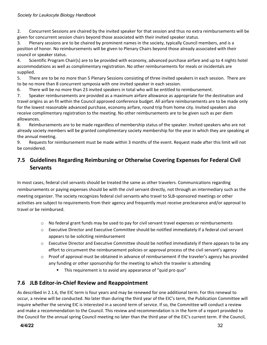2. Concurrent Sessions are chaired by the invited speaker for that session and thus no extra reimbursements will be given for concurrent session chairs beyond those associated with their invited speaker status.

3. Plenary sessions are to be chaired by prominent names in the society, typically Council members, and is a position of honor. No reimbursements will be given to Plenary Chairs beyond those already associated with their council or speaker status.

4. Scientific Program Chair(s) are to be provided with economy, advanced purchase airfare and up to 4 nights hotel accommodations as well as complimentary registration. No other reimbursements for meals or incidentals are supplied.

5. There are to be no more than 5 Plenary Sessions consisting of three invited speakers in each session. There are to be no more than 8 concurrent symposia with one invited speaker in each session.

6. There will be no more than 23 invited speakers in total who will be entitled to reimbursement.

7. Speaker reimbursements are provided as a maximum airfare allowance as appropriate for the destination and travel origins as an fit within the Council approved conference budget. All airfare reimbursements are to be made only for the lowest reasonable advanced purchase, economy airfare, round trip from home city. Invited speakers also receive complimentary registration to the meeting. No other reimbursements are to be given such as per diem allowances.

8. Reimbursements are to be made regardless of membership status of the speaker. Invited speakers who are not already society members will be granted complimentary society membership for the year in which they are speaking at the annual meeting.

9. Requests for reimbursement must be made within 3 months of the event. Request made after this limit will not be considered.

# <span id="page-41-0"></span>**7.5 Guidelines Regarding Reimbursing or Otherwise Covering Expenses for Federal Civil Servants**

In most cases, federal civil servants should be treated the same as other travelers. Communications regarding reimbursements or paying expenses should be with the civil servant directly, not through an intermediary such as the meeting organizer. The society recognizes federal civil servants who travel to SLB-sponsored meetings or other activities are subject to requirements from their agency and frequently must receive preclearance and/or approval to travel or be reimbursed.

- $\circ$  No federal grant funds may be used to pay for civil servant travel expenses or reimbursements
- o Executive Director and Executive Committee should be notified immediately if a federal civil servant appears to be soliciting reimbursement
- $\circ$  Executive Director and Executive Committee should be notified immediately if there appears to be any effort to circumvent the reimbursement policies or approval process of the civil servant's agency
- $\circ$  Proof of approval must be obtained in advance of reimbursement if the traveler's agency has provided any funding or other sponsorship for the meeting to which the traveler is attending
	- **This requirement is to avoid any appearance of "quid pro quo"**

# <span id="page-41-1"></span>**7.6 JLB Editor-in-Chief Review and Reappointment**

As described in 2.1.6, the EIC term is four years and may be renewed for one additional term. For this renewal to occur, a review will be conducted. No later than during the third year of the EIC's term, the Publication Committee will inquire whether the serving EIC is interested in a second term of service. If so, the Committee will conduct a review and make a recommendation to the Council. This review and recommendation is in the form of a report provided to the Council for the annual spring Council meeting no later than the third year of the EIC's current term. If the Council,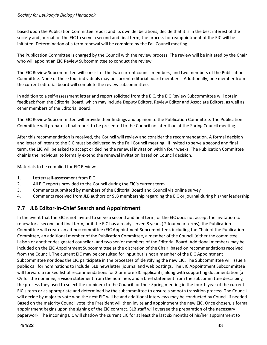based upon the Publication Committee report and its own deliberations, decide that it is in the best interest of the society and journal for the EIC to serve a second and final term, the process for reappointment of the EIC will be initiated. Determination of a term renewal will be complete by the Fall Council meeting.

The Publication Committee is charged by the Council with the review process. The review will be initiated by the Chair who will appoint an EIC Review Subcommittee to conduct the review.

The EIC Review Subcommittee will consist of the two current council members, and two members of the Publication Committee. None of these four individuals may be current editorial board members. Additionally, one member from the current editorial board will complete the review subcommittee.

In addition to a self-assessment letter and report solicited from the EIC, the EIC Review Subcommittee will obtain feedback from the Editorial Board, which may include Deputy Editors, Review Editor and Associate Editors, as well as other members of the Editorial Board.

The EIC Review Subcommittee will provide their findings and opinion to the Publication Committee. The Publication Committee will prepare a final report to be presented to the Council no later than at the Spring Council meeting.

After this recommendation is received, the Council will review and consider the recommendation. A formal decision and letter of intent to the EIC must be delivered by the Fall Council meeting. If invited to serve a second and final term, the EIC will be asked to accept or decline the renewal invitation within four weeks. The Publication Committee chair is the individual to formally extend the renewal invitation based on Council decision.

Materials to be complied for EIC Review:

- 1. Letter/self-assessment from EIC
- 2. All EIC reports provided to the Council during the EIC's current term
- 3. Comments submitted by members of the Editorial Board and Council via online survey
- <span id="page-42-0"></span>4. Comments received from JLB authors or SLB membership regarding the EIC or journal during his/her leadership

# **7.7 JLB Editor-in-Chief Search and Appointment**

In the event that the EIC is not invited to serve a second and final term, or the EIC does not accept the invitation to renew for a second and final term, or if the EIC has already served 8 years ( 2 four year terms), the Publication Committee will create an ad-hoc committee (EIC Appointment Subcommittee), including the Chair of the Publication Committee, an additional member of the Publication Committee, a member of the Council (either the committee liaison or another designated councilor) and two senior members of the Editorial Board. Additional members may be included on the EIC Appointment Subcommittee at the discretion of the Chair, based on recommendations received from the Council. The current EIC may be consulted for input but is not a member of the EIC Appointment Subcommittee nor does the EIC participate in the processes of identifying the new EIC. The Subcommittee will issue a public call for nominations to include iSLB newsletter, journal and web postings. The EIC Appointment Subcommittee will forward a ranked list of recommendations for 2 or more EIC applicants, along with supporting documentation (a CV for the nominee, a vision statement from the nominee, and a brief statement from the subcommittee describing the process they used to select the nominee) to the Council for their Spring meeting in the fourth year of the current EIC's term or as appropriate and determined by the subcommittee to ensure a smooth transition process. The Council will decide by majority vote who the next EIC will be and additional interviews may be conducted by Council if needed. Based on the majority Council vote, the President will then invite and appointment the new EIC. Once chosen, a formal appointment begins upon the signing of the EIC contract. SLB staff will oversee the preparation of the necessary paperwork. The incoming EIC will shadow the current EIC for at least the last six months of his/her appointment to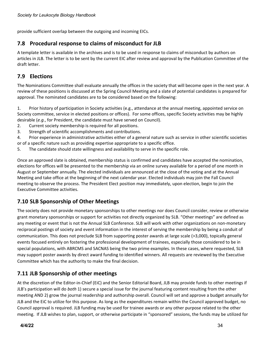provide sufficient overlap between the outgoing and incoming EICs.

## <span id="page-43-0"></span>**7.8 Procedural response to claims of misconduct for JLB**

A template letter is available in the archives and is to be used in response to claims of misconduct by authors on articles in JLB. The letter is to be sent by the current EIC after review and approval by the Publication Committee of the draft letter.

# <span id="page-43-1"></span>**7.9 Elections**

The Nominations Committee shall evaluate annually the offices in the society that will become open in the next year. A review of these positions is discussed at the Spring Council Meeting and a slate of potential candidates is prepared for approval. The nominated candidates are to be considered based on the following:

1. Prior history of participation in Society activities (e.g., attendance at the annual meeting, appointed service on Society committee, service in elected positions or offices). For some offices, specific Society activities may be highly desirable (*e.g.*, for President, the candidate must have served on Council).

- 2. Current society membership is required for all positions.
- 3. Strength of scientific accomplishments and contributions.
- 4. Prior experience in administrative activities either of a general nature such as service in other scientific societies or of a specific nature such as providing expertise appropriate to a specific office.
- 5. The candidate should state willingness and availability to serve in the specific role.

Once an approved slate is obtained, membership status is confirmed and candidates have accepted the nomination, elections for offices will be presented to the membership via an online survey available for a period of one month in August or September annually. The elected individuals are announced at the close of the voting and at the Annual Meeting and take office at the beginning of the next calendar year. Elected individuals may join the Fall Council meeting to observe the process. The President Elect position may immediately, upon election, begin to join the Executive Committee activities.

# <span id="page-43-2"></span>**7.10 SLB Sponsorship of Other Meetings**

The society does not provide monetary sponsorships to other meetings nor does Council consider, review or otherwise grant monetary sponsorships or support for activities not directly organized by SLB. "Other meetings" are defined as any meeting or event that is not the Annual SLB Conference. SLB will work with other organizations on non-monetary reciprocal postings of society and event information in the interest of serving the membership by being a conduit of communication. This does not preclude SLB from supporting poster awards at large scale (>3,000), topically general events focused entirely on fostering the professional development of trainees, especially those considered to be in special populations, with ABRCMS and SACNAS being the two prime examples. In these cases, where requested, SLB may support poster awards by direct award funding to identified winners. All requests are reviewed by the Executive Committee which has the authority to make the final decision.

# <span id="page-43-3"></span>**7.11 JLB Sponsorship of other meetings**

At the discretion of the Editor-in-Chief (EiC) and the Senior Editorial Board, JLB may provide funds to other meetings if JLB's participation will do *both* 1) secure a special issue for the journal featuring content resulting from the other meeting AND 2) grow the journal readership and authorship overall. Council will set and approve a budget annually for JLB and the EiC to utilize for this purpose. As long as the expenditures remain within the Council approved budget, no Council approval is required. JLB funding may be used for trainee awards or any other purpose related to the other meeting. If JLB wishes to plan, support, or otherwise participate in "sponsored" sessions, the funds may be utilized for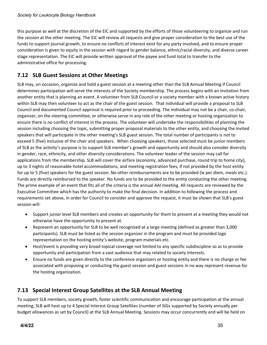this purpose as well at the discretion of the EiC and supported by the efforts of those volunteering to organize and run the session at the other meeting. The EiC will review all requests and give proper consideration to the best use of the funds to support journal growth, to ensure no conflicts of interest exist for any party involved, and to ensure proper consideration is given to equity in the session with regard to gender balance, ethnic/racial diversity, and diverse career stage representation. The EiC will provide written approval of the payee and fund total to transfer to the administrative office for processing.

# <span id="page-44-0"></span>**7.12 SLB Guest Sessions at Other Meetings**

SLB may, on occasion, organize and hold a guest session at a meeting other than the SLB Annual Meeting if Council determines participation will serve the interests of the Society membership. The process begins with an invitation from another entity that is planning an event. A volunteer from SLB Council or a society member with a known active history within SLB may then volunteer to act as the chair of the guest session. That individual will provide a proposal to SLB Council and documented Council approval is required prior to proceeding. The individual may not be a chair, co-chair, organizer, on the steering committee, or otherwise serve in any role of the other meeting or hosting organization to ensure there is no conflict of interest in the process. The volunteer will undertake the responsibilities of planning the session including choosing the topic, submitting proper proposal materials to the other entity, and choosing the invited speakers that will participate in the other meeting's SLB guest session. The total number of participants is not to exceed 5 (five) inclusive of the chair and speakers. When choosing speakers, those selected must be junior members of SLB as the activity's purpose is to support SLB member's growth and opportunity and should also consider diversity in gender, race, ethnicity, and other diversity considerations. The volunteer leader of the session may call for applications from the membership. SLB will cover the airfare (economy, advanced purchase, round trip to home city), up to 3 nights of reasonable hotel accommodations, and meeting registration fees, if not provided by the host entity for up to 5 (five) speakers for the guest session. No other reimbursements are to be provided (ie per diem, meals etc.). Funds are directly reimbursed to the speaker. No funds are to be provided to the entity conducting the other meeting. The prime example of an event that fits all of the criteria is the annual AAI meeting. All requests are reviewed by the Executive Committee which has the authority to make the final decision. In addition to following the process and requirements set above, in order for Council to consider and approve the request, it must be shown that SLB's guest session will:

- Support junior level SLB members and creates an opportunity for them to present at a meeting they would not otherwise have the opportunity to present at.
- Represent an opportunity for SLB to be well recognized at a large meeting (defined as greater than 3,000 participants). SLB must be listed as the session organizer in the program and must be provided logo representation on the hosting entity's website, program materials etc.
- Host/event is providing very broad topical coverage not limited to any specific subdiscipline so as to provide opportunity and participation from a vast audience that may related to society interests.
- Ensure no funds are given directly to the conference organizers or hosting entity and there is no charge or fee associated with proposing or conducting the guest session and guest sessions in no way represent revenue for the hosting organization.

# <span id="page-44-1"></span>**7.13 Special Interest Group Satellites at the SLB Annual Meeting**

To support SLB members, society growth, foster scientific communication and encourage participation at the annual meeting, SLB will host up to 4 Special Interest Group Satellites (number of SIGs supported by Society annually per budget allowances as set by Council) at the SLB Annual Meeting. Sessions may occur concurrently and will be held on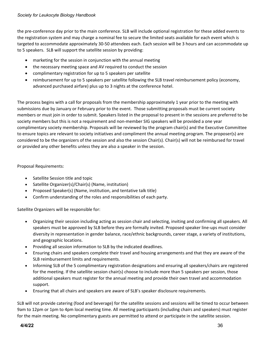the pre-conference day prior to the main conference. SLB will include optional registration for these added events to the registration system and may charge a nominal fee to secure the limited seats available for each event which is targeted to accommodate approximately 30-50 attendees each. Each session will be 3 hours and can accommodate up to 5 speakers. SLB will support the satellite session by providing:

- marketing for the session in conjunction with the annual meeting
- the necessary meeting space and AV required to conduct the session
- complimentary registration for up to 5 speakers per satellite
- reimbursement for up to 5 speakers per satellite following the SLB travel reimbursement policy (economy, advanced purchased airfare) plus up to 3 nights at the conference hotel.

The process begins with a call for proposals from the membership approximately 1 year prior to the meeting with submissions due by January or February prior to the event. Those submitting proposals must be current society members or must join in order to submit. Speakers listed in the proposal to present in the sessions are preferred to be society members but this is not a requirement and non-member SIG speakers will be provided a one year complimentary society membership. Proposals will be reviewed by the program chair(s) and the Executive Committee to ensure topics are relevant to society initiatives and compliment the annual meeting program. The proposer(s) are considered to be the organizers of the session and also the session Chair(s). Chair(s) will not be reimbursed for travel or provided any other benefits unless they are also a speaker in the session.

### Proposal Requirements:

- Satellite Session title and topic
- Satellite Organizer(s)/Chair(s) (Name, institution)
- Proposed Speaker(s) (Name, institution, and tentative talk title)
- Confirm understanding of the roles and responsibilities of each party.

Satellite Organizers will be responsible for:

- Organizing their session including acting as session chair and selecting, inviting and confirming all speakers. All speakers must be approved by SLB before they are formally invited. Proposed speaker line-ups must consider diversity in representation in gender balance, race/ethnic backgrounds, career stage, a variety of institutions, and geographic locations.
- Providing all session information to SLB by the indicated deadlines.
- Ensuring chairs and speakers complete their travel and housing arrangements and that they are aware of the SLB reimbursement limits and requirements.
- Informing SLB of the 5 complimentary registration designations and ensuring all speakers/chairs are registered for the meeting. If the satellite session chair(s) choose to include more than 5 speakers per session, those additional speakers must register for the annual meeting and provide their own travel and accommodation support.
- Ensuring that all chairs and speakers are aware of SLB's speaker disclosure requirements.

SLB will not provide catering (food and beverage) for the satellite sessions and sessions will be timed to occur between 9am to 12pm or 1pm to 4pm local meeting time. All meeting participants (including chairs and speakers) must register for the main meeting. No complimentary guests are permitted to attend or participate in the satellite session.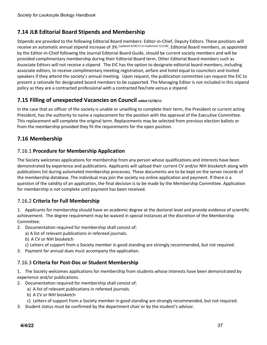# <span id="page-46-0"></span>**7.14 JLB Editorial Board Stipends and Membership**

Stipends are provided to the following Editorial Board members: Editor-in-Chief, Deputy Editors. These positions will receive an automatic annual stipend increase of 3% (updated 4/28/17 to implement 1/1/18). Editorial Board members, as appointed by the Editor-in-Chief following the Journal Editorial Board Guide, should be current society members and will be provided complimentary membership during their Editorial Board term. Other Editorial Board members such as Associate Editors will not receive a stipend. The EIC has the option to designate editorial board members, including associate editors, to receive complimentary meeting registration, airfare and hotel equal to councilors and invited speakers if they attend the society's annual meeting. Upon request, the publication committee can request the EIC to present a rationale for designated board members to be supported. The Managing Editor is not included in this stipend policy as they are a contracted professional with a contracted fee/rate versus a stipend.

# <span id="page-46-1"></span>**7.15 Filling of unexpected Vacancies on Council added 12/28/11**

In the case that an officer of the society is unable or unwilling to complete their term, the President or current acting President, has the authority to name a replacement for the position with the approval of the Executive Committee. This replacement will complete the original term. Replacements may be selected from previous election ballots or from the membership provided they fit the requirements for the open position.

# <span id="page-46-2"></span>**7.16 Membership**

### <span id="page-46-3"></span>7.16.1 **Procedure for Membership Application**

The Society welcomes applications for membership from any person whose qualifications and interests have been demonstrated by experience and publications. Applicants will upload their current CV and/or NIH biosketch along with publications list during automated membership processes. These documents are to be kept on the server records of the membership database. The individual may join the society via online application and payment. If there is a question of the validity of an application, the final decision is to be made by the Membership Committee. Application for membership is not complete until payment has been received.

### <span id="page-46-4"></span>7.16.2 **Criteria for Full Membership**

1. Applicants for membership should have an academic degree at the doctoral level and provide evidence of scientific achievement. The degree requirement may be waived in special instances at the discretion of the Membership Committee.

- 2. Documentation required for membership shall consist of:
	- a) A list of relevant publications in refereed journals.
	- b) A CV or NIH biosketch
	- c) Letters of support from a Society member in good standing are strongly recommended, but not required.
- 3. Payment for annual dues must accompany the application.

### <span id="page-46-5"></span>7.16.3 **Criteria for Post-Doc or Student Membership**

1. The Society welcomes applications for membership from students whose interests have been demonstrated by experience and/or publications.

- 2. Documentation required for membership shall consist of:
	- a) A list of relevant publications in refereed journals.
	- b) A CV or NIH biosketch
	- c) Letters of support from a Society member in good standing are strongly recommended, but not required.
- 3. Student status must be confirmed by the department chair or by the student's advisor.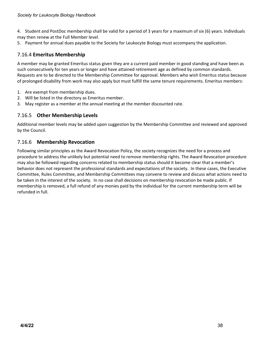4. Student and PostDoc membership shall be valid for a period of 3 years for a maximum of six (6) years. Individuals may then renew at the Full Member level.

5. Payment for annual dues payable to the Society for Leukocyte Biology must accompany the application.

### <span id="page-47-0"></span>7.16.4 **Emeritus Membership**

A member may be granted Emeritus status given they are a current paid member in good standing and have been as such consecutively for ten years or longer and have attained retirement age as defined by common standards. Requests are to be directed to the Membership Committee for approval. Members who wish Emeritus status because of prolonged disability from work may also apply but must fulfill the same tenure requirements. Emeritus members:

- 1. Are exempt from membership dues.
- 2. Will be listed in the directory as Emeritus member.
- 3. May register as a member at the annual meeting at the member discounted rate.

#### <span id="page-47-1"></span>7.16.5 **Other Membership Levels**

Additional member levels may be added upon suggestion by the Membership Committee and reviewed and approved by the Council.

#### <span id="page-47-2"></span>7.16.6 **Membership Revocation**

Following similar principles as the Award Revocation Policy, the society recognizes the need for a process and procedure to address the unlikely but potential need to remove membership rights. The Award Revocation procedure may also be followed regarding concerns related to membership status should it become clear that a member's behavior does not represent the professional standards and expectations of the society. In these cases, the Executive Committee, Rules Committee, and Membership Committees may convene to review and discuss what actions need to be taken in the interest of the society. In no case shall decisions on membership revocation be made public. If membership is removed, a full refund of any monies paid by the individual for the current membership term will be refunded in full.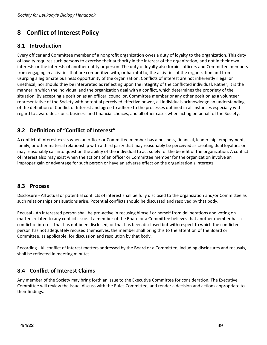# <span id="page-48-0"></span>**8 Conflict of Interest Policy**

## <span id="page-48-1"></span>**8.1 Introduction**

Every officer and Committee member of a nonprofit organization owes a duty of loyalty to the organization. This duty of loyalty requires such persons to exercise their authority in the interest of the organization, and not in their own interests or the interests of another entity or person. The duty of loyalty also forbids officers and Committee members from engaging in activities that are competitive with, or harmful to, the activities of the organization and from usurping a legitimate business opportunity of the organization. Conflicts of interest are not inherently illegal or unethical, nor should they be interpreted as reflecting upon the integrity of the conflicted individual. Rather, it is the manner in which the individual and the organization deal with a conflict, which determines the propriety of the situation. By accepting a position as an officer, councilor, Committee member or any other position as a volunteer representative of the Society with potential perceived effective power, all individuals acknowledge an understanding of the definition of Conflict of Interest and agree to adhere to the processes outlined in all instances especially with regard to award decisions, business and financial choices, and all other cases when acting on behalf of the Society.

# <span id="page-48-2"></span>**8.2 Definition of "Conflict of Interest"**

A conflict of interest exists when an officer or Committee member has a business, financial, leadership, employment, family, or other material relationship with a third party that may reasonably be perceived as creating dual loyalties or may reasonably call into question the ability of the individual to act solely for the benefit of the organization. A conflict of interest also may exist when the actions of an officer or Committee member for the organization involve an improper gain or advantage for such person or have an adverse effect on the organization's interests.

### <span id="page-48-3"></span>**8.3 Process**

Disclosure - All actual or potential conflicts of interest shall be fully disclosed to the organization and/or Committee as such relationships or situations arise. Potential conflicts should be discussed and resolved by that body.

Recusal - An interested person shall be pro-active in recusing himself or herself from deliberations and voting on matters related to any conflict issue. If a member of the Board or a Committee believes that another member has a conflict of interest that has not been disclosed, or that has been disclosed but with respect to which the conflicted person has not adequately recused themselves, the member shall bring this to the attention of the Board or Committee, as applicable, for discussion and resolution by that body.

Recording - All conflict of interest matters addressed by the Board or a Committee, including disclosures and recusals, shall be reflected in meeting minutes.

# <span id="page-48-4"></span>**8.4 Conflict of Interest Claims**

Any member of the Society may bring forth an issue to the Executive Committee for consideration. The Executive Committee will review the issue, discuss with the Rules Committee, and render a decision and actions appropriate to their findings.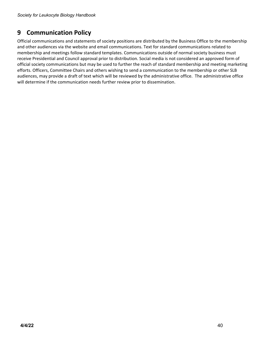# <span id="page-49-0"></span>**9 Communication Policy**

Official communications and statements of society positions are distributed by the Business Office to the membership and other audiences via the website and email communications. Text for standard communications related to membership and meetings follow standard templates. Communications outside of normal society business must receive Presidential and Council approval prior to distribution. Social media is not considered an approved form of official society communications but may be used to further the reach of standard membership and meeting marketing efforts. Officers, Committee Chairs and others wishing to send a communication to the membership or other SLB audiences, may provide a draft of text which will be reviewed by the administrative office. The administrative office will determine if the communication needs further review prior to dissemination.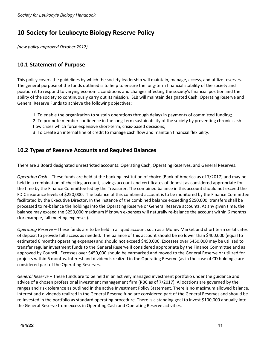# <span id="page-50-0"></span>**10 Society for Leukocyte Biology Reserve Policy**

*(new policy approved October 2017)*

### <span id="page-50-1"></span>**10.1 Statement of Purpose**

This policy covers the guidelines by which the society leadership will maintain, manage, access, and utilize reserves. The general purpose of the funds outlined is to help to ensure the long-term financial stability of the society and position it to respond to varying economic conditions and changes affecting the society's financial position and the ability of the society to continuously carry out its mission. SLB will maintain designated Cash, Operating Reserve and General Reserve Funds to achieve the following objectives:

1. To enable the organization to sustain operations through delays in payments of committed funding; 2. To promote member confidence in the long-term sustainability of the society by preventing chronic cash flow crises which force expensive short-term, crisis-based decisions;

3. To create an internal line of credit to manage cash flow and maintain financial flexibility.

# <span id="page-50-2"></span>**10.2 Types of Reserve Accounts and Required Balances**

There are 3 Board designated unrestricted accounts: Operating Cash, Operating Reserves, and General Reserves.

*Operating Cash* – These funds are held at the banking institution of choice (Bank of America as of 7/2017) and may be held in a combination of checking account, savings account and certificates of deposit as considered appropriate for the time by the Finance Committee led by the Treasurer. The combined balance in this account should not exceed the FDIC insurance levels of \$250,000. The balance of this combined account is to be monitored by the Finance Committee facilitated by the Executive Director. In the instance of the combined balance exceeding \$250,000, transfers shall be processed to re-balance the holdings into the Operating Reserve or General Reserve accounts. At any given time, the balance may exceed the \$250,000 maximum if known expenses will naturally re-balance the account within 6 months (for example, fall meeting expenses).

*Operating Reserve* – These funds are to be held in a liquid account such as a Money Market and short term certificates of deposit to provide full access as needed. The balance of this account should be no lower than \$400,000 (equal to estimated 6 months operating expense) and should not exceed \$450,000. Excesses over \$450,000 may be utilized to transfer regular investment funds to the General Reserve if considered appropriate by the Finance Committee and as approved by Council. Excesses over \$450,000 should be earmarked and moved to the General Reserve or utilized for projects within 6 months. Interest and dividends realized in the Operating Reserve (as in the case of CD holdings) are considered part of the Operating Reserves.

*General Reserve* – These funds are to be held in an actively managed investment portfolio under the guidance and advice of a chosen professional investment management firm (RBC as of 7/2017). Allocations are governed by the ranges and risk tolerance as outlined in the active Investment Policy Statement. There is no maximum allowed balance. Interest and dividends realized in the General Reserve fund are considered part of the General Reserves and should be re-invested in the portfolio as standard operating procedure. There is a standing goal to invest \$100,000 annually into the General Reserve from excess in Operating Cash and Operating Reserve activities.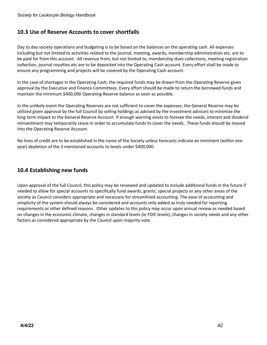# <span id="page-51-0"></span>**10.3 Use of Reserve Accounts to cover shortfalls**

Day to day society operations and budgeting is to be based on the balances on the operating cash. All expenses including but not limited to activities related to the journal, meeting, awards, membership administration etc. are to be paid for from this account. All revenue from, but not limited to, membership dues collections, meeting registration collection, journal royalties etc are to be deposited into the Operating Cash account. Every effort shall be made to ensure any programming and projects will be covered by the Operating Cash account.

In the case of shortages in the Operating Cash, the required funds may be drawn from the Operating Reserve given approval by the Executive and Finance Committees. Every effort should be made to return the borrowed funds and maintain the minimum \$400,000 Operating Reserve balance as soon as possible.

In the unlikely event the Operating Reserves are not sufficient to cover the expenses; the General Reserve may be utilized given approval by the full Council by selling holdings as advised by the investment advisors to minimize the long term impact to the General Reserve Account. If enough warning exists to foresee the needs, interest and dividend reinvestment may temporarily cease in order to accumulate funds to cover the needs. These funds should be moved into the Operating Reserve Account.

No lines of credit are to be established in the name of the Society unless forecasts indicate an imminent (within one year) depletion of the 3 mentioned accounts to levels under \$400,000.

### <span id="page-51-1"></span>**10.4 Establishing new funds**

Upon approval of the full Council, this policy may be reviewed and updated to include additional funds in the future if needed to allow for special accounts to specifically fund awards, grants, special projects or any other areas of the society as Council considers appropriate and necessary for streamlined accounting. The ease of accounting and simplicity of the system should always be considered and accounts only added as truly needed for reporting requirements or other defined reasons. Other updates to this policy may occur upon annual review as needed based on changes in the economic climate, changes in standard levels (ie FDIC levels), changes in society needs and any other factors as considered appropriate by the Council upon majority vote.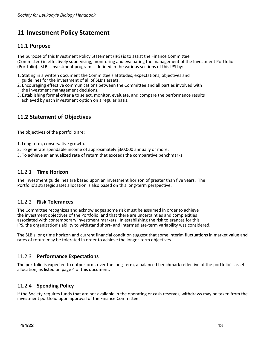# <span id="page-52-0"></span>**11 Investment Policy Statement**

### <span id="page-52-1"></span>**11.1 Purpose**

The purpose of this Investment Policy Statement (IPS) is to assist the Finance Committee (Committee) in effectively supervising, monitoring and evaluating the management of the Investment Portfolio (Portfolio). SLB's investment program is defined in the various sections of this IPS by:

- 1. Stating in a written document the Committee's attitudes, expectations, objectives and guidelines for the investment of all of SLB's assets.
- 2. Encouraging effective communications between the Committee and all parties involved with the investment management decisions.
- 3. Establishing formal criteria to select, monitor, evaluate, and compare the performance results achieved by each investment option on a regular basis.

# <span id="page-52-2"></span>**11.2 Statement of Objectives**

The objectives of the portfolio are:

- 1. Long term, conservative growth.
- 2. To generate spendable income of approximately \$60,000 annually or more.
- 3. To achieve an annualized rate of return that exceeds the comparative benchmarks.

#### <span id="page-52-3"></span>11.2.1 **Time Horizon**

The investment guidelines are based upon an investment horizon of greater than five years. The Portfolio's strategic asset allocation is also based on this long-term perspective.

### <span id="page-52-4"></span>11.2.2 **Risk Tolerances**

The Committee recognizes and acknowledges some risk must be assumed in order to achieve the investment objectives of the Portfolio, and that there are uncertainties and complexities associated with contemporary investment markets. In establishing the risk tolerances for this IPS, the organization's ability to withstand short- and intermediate-term variability was considered.

The SLB's long time horizon and current financial condition suggest that some interim fluctuations in market value and rates of return may be tolerated in order to achieve the longer-term objectives.

### <span id="page-52-5"></span>11.2.3 **Performance Expectations**

The portfolio is expected to outperform, over the long-term, a balanced benchmark reflective of the portfolio's asset allocation, as listed on page 4 of this document.

### <span id="page-52-6"></span>11.2.4 **Spending Policy**

If the Society requires funds that are not available in the operating or cash reserves, withdraws may be taken from the investment portfolio upon approval of the Finance Committee.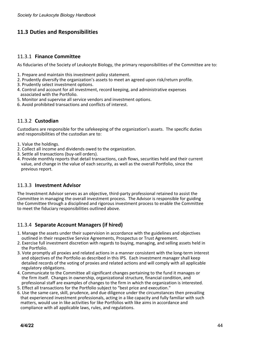# <span id="page-53-0"></span>**11.3 Duties and Responsibilities**

#### <span id="page-53-1"></span>11.3.1 **Finance Committee**

As fiduciaries of the Society of Leukocyte Biology, the primary responsibilities of the Committee are to:

- 1. Prepare and maintain this investment policy statement.
- 2. Prudently diversify the organization's assets to meet an agreed upon risk/return profile.
- 3. Prudently select investment options.
- 4. Control and account for all investment, record keeping, and administrative expenses associated with the Portfolio.
- 5. Monitor and supervise all service vendors and investment options.
- 6. Avoid prohibited transactions and conflicts of interest.

### <span id="page-53-2"></span>11.3.2 **Custodian**

Custodians are responsible for the safekeeping of the organization's assets. The specific duties and responsibilities of the custodian are to:

- 1. Value the holdings.
- 2. Collect all income and dividends owed to the organization.
- 3. Settle all transactions (buy-sell orders).
- 4. Provide monthly reports that detail transactions, cash flows, securities held and their current value, and change in the value of each security, as well as the overall Portfolio, since the previous report.

#### <span id="page-53-3"></span>11.3.3 **Investment Advisor**

The Investment Advisor serves as an objective, third-party professional retained to assist the Committee in managing the overall investment process. The Advisor is responsible for guiding the Committee through a disciplined and rigorous investment process to enable the Committee to meet the fiduciary responsibilities outlined above.

### <span id="page-53-4"></span>11.3.4 **Separate Account Managers (if hired)**

- 1. Manage the assets under their supervision in accordance with the guidelines and objectives outlined in their respective Service Agreements, Prospectus or Trust Agreement.
- 2. Exercise full investment discretion with regards to buying, managing, and selling assets held in the Portfolio.
- 3. Vote promptly all proxies and related actions in a manner consistent with the long-term interest and objectives of the Portfolio as described in this IPS. Each investment manager shall keep detailed records of the voting of proxies and related actions and will comply with all applicable regulatory obligations.
- 4. Communicate to the Committee all significant changes pertaining to the fund it manages or the firm itself. Changes in ownership, organizational structure, financial condition, and professional staff are examples of changes to the firm in which the organization is interested.
- 5. Effect all transactions for the Portfolio subject to "best price and execution."
- 6. Use the same care, skill, prudence, and due diligence under the circumstances then prevailing that experienced investment professionals, acting in a like capacity and fully familiar with such matters, would use in like activities for like Portfolios with like aims in accordance and compliance with all applicable laws, rules, and regulations.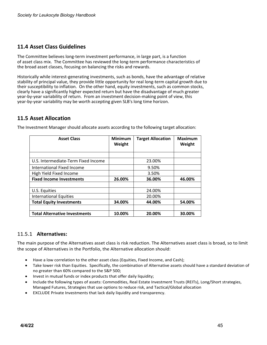## <span id="page-54-0"></span>**11.4 Asset Class Guidelines**

The Committee believes long-term investment performance, in large part, is a function of asset class mix. The Committee has reviewed the long-term performance characteristics of the broad asset classes, focusing on balancing the risks and rewards.

Historically while interest-generating investments, such as bonds, have the advantage of relative stability of principal value, they provide little opportunity for real long-term capital growth due to their susceptibility to inflation. On the other hand, equity investments, such as common stocks, clearly have a significantly higher expected return but have the disadvantage of much greater year-by-year variability of return. From an investment decision-making point of view, this year-by-year variability may be worth accepting given SLB's long time horizon.

### <span id="page-54-1"></span>**11.5 Asset Allocation**

| <b>Asset Class</b>                   | <b>Minimum</b><br>Weight | <b>Target Allocation</b> | <b>Maximum</b><br>Weight |
|--------------------------------------|--------------------------|--------------------------|--------------------------|
|                                      |                          |                          |                          |
| U.S. Intermediate-Term Fixed Income  |                          | 23.00%                   |                          |
| International Fixed Income           |                          | 9.50%                    |                          |
| High Yield Fixed Income              |                          | 3.50%                    |                          |
| <b>Fixed Income Investments</b>      | 26.00%                   | 36.00%                   | 46.00%                   |
|                                      |                          |                          |                          |
| U.S. Equities                        |                          | 24.00%                   |                          |
| <b>International Equities</b>        |                          | 20.00%                   |                          |
| <b>Total Equity Investments</b>      | 34.00%                   | 44.00%                   | 54.00%                   |
|                                      |                          |                          |                          |
| <b>Total Alternative Investments</b> | 10.00%                   | 20.00%                   | 30.00%                   |

The Investment Manager should allocate assets according to the following target allocation:

### <span id="page-54-2"></span>11.5.1 **Alternatives:**

The main purpose of the Alternatives asset class is risk reduction. The Alternatives asset class is broad, so to limit the scope of Alternatives in the Portfolio, the Alternative allocation should:

- Have a low correlation to the other asset class (Equities, Fixed Income, and Cash);
- Take lower risk than Equities. Specifically, the combination of Alternative assets should have a standard deviation of no greater than 60% compared to the S&P 500;
- Invest in mutual funds or index products that offer daily liquidity;
- Include the following types of assets: Commodities, Real Estate Investment Trusts (REITs), Long/Short strategies, Managed Futures, Strategies that use options to reduce risk, and Tactical/Global allocation
- EXCLUDE Private Investments that lack daily liquidity and transparency.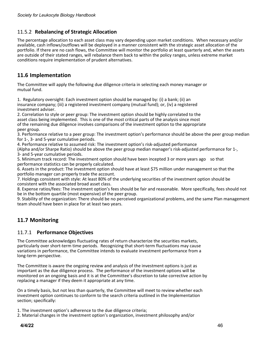### <span id="page-55-0"></span>11.5.2 **Rebalancing of Strategic Allocation**

The percentage allocation to each asset class may vary depending upon market conditions. When necessary and/or available, cash inflows/outflows will be deployed in a manner consistent with the strategic asset allocation of the portfolio. If there are no cash flows, the Committee will monitor the portfolio at least quarterly and, when the assets are outside of their stated ranges, will rebalance them back to within the policy ranges, unless extreme market conditions require implementation of prudent alternatives.

### <span id="page-55-1"></span>**11.6 Implementation**

The Committee will apply the following due diligence criteria in selecting each money manager or mutual fund.

1. Regulatory oversight: Each investment option should be managed by: (i) a bank; (ii) an insurance company; (iii) a registered investment company (mutual fund); or, (iv) a registered investment adviser.

2. Correlation to style or peer group: The investment option should be highly correlated to the asset class being implemented. This is one of the most critical parts of the analysis since most of the remaining due diligence involves comparisons of the investment option to the appropriate peer group.

3. Performance relative to a peer group: The investment option's performance should be above the peer group median for 1-, 3- and 5-year cumulative periods.

4. Performance relative to assumed risk: The investment option's risk-adjusted performance

(Alpha and/or Sharpe Ratio) should be above the peer group median manager's risk-adjusted performance for 1-, 3- and 5-year cumulative periods.

5. Minimum track record: The investment option should have been incepted 3 or more years ago so that performance statistics can be properly calculated.

6. Assets in the product: The investment option should have at least \$75 million under management so that the portfolio manager can properly trade the account.

7. Holdings consistent with style: At least 80% of the underlying securities of the investment option should be consistent with the associated broad asset class.

8. Expense ratios/fees: The investment option's fees should be fair and reasonable. More specifically, fees should not be in the bottom quartile (most expensive) of the peer group.

9. Stability of the organization: There should be no perceived organizational problems, and the same Plan management team should have been in place for at least two years.

# <span id="page-55-2"></span>**11.7 Monitoring**

### <span id="page-55-3"></span>11.7.1 **Performance Objectives**

The Committee acknowledges fluctuating rates of return characterize the securities markets, particularly over short-term time periods. Recognizing that short-term fluctuations may cause variations in performance, the Committee intends to evaluate investment performance from a long-term perspective.

The Committee is aware the ongoing review and analysis of the investment options is just as important as the due diligence process. The performance of the investment options will be monitored on an ongoing basis and it is at the Committee's discretion to take corrective action by replacing a manager if they deem it appropriate at any time.

On a timely basis, but not less than quarterly, the Committee will meet to review whether each investment option continues to conform to the search criteria outlined in the Implementation section; specifically:

1. The investment option's adherence to the due diligence criteria;

2. Material changes in the investment option's organization, investment philosophy and/or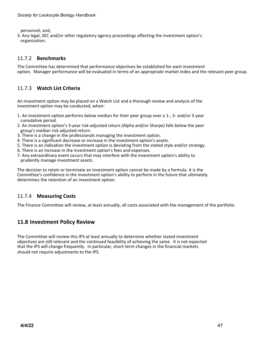personnel; and,

3. Any legal, SEC and/or other regulatory agency proceedings affecting the investment option's organization.

#### <span id="page-56-0"></span>11.7.2 **Benchmarks**

The Committee has determined that performance objectives be established for each investment option. Manager performance will be evaluated in terms of an appropriate market index and the relevant peer group.

### <span id="page-56-1"></span>11.7.3 **Watch List Criteria**

An investment option may be placed on a Watch List and a thorough review and analysis of the investment option may be conducted, when:

- 1. An investment option performs below median for their peer group over a 1-, 3- and/or 5-year cumulative period.
- 2. An investment option's 3-year risk-adjusted return (Alpha and/or Sharpe) falls below the peer group's median risk adjusted return.
- 3. There is a change in the professionals managing the investment option.
- 4. There is a significant decrease or increase in the investment option's assets.
- 5. There is an indication the investment option is deviating from the stated style and/or strategy.
- 6. There is an increase in the investment option's fees and expenses.
- 7. Any extraordinary event occurs that may interfere with the investment option's ability to prudently manage investment assets.

The decision to retain or terminate an investment option cannot be made by a formula. It is the Committee's confidence in the investment option's ability to perform in the future that ultimately determines the retention of an investment option.

### <span id="page-56-2"></span>11.7.4 **Measuring Costs**

The Finance Committee will review, at least annually, all costs associated with the management of the portfolio.

### <span id="page-56-3"></span>**11.8 Investment Policy Review**

The Committee will review this IPS at least annually to determine whether stated investment objectives are still relevant and the continued feasibility of achieving the same. It is not expected that the IPS will change frequently. In particular, short-term changes in the financial markets should not require adjustments to the IPS.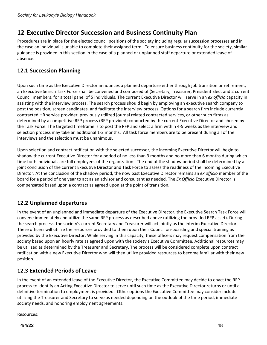# <span id="page-57-0"></span>**12 Executive Director Succession and Business Continuity Plan**

Procedures are in place for the elected council positions of the society including regular succession processes and in the case an individual is unable to complete their assigned term. To ensure business continuity for the society, similar guidance is provided in this section in the case of a planned or unplanned staff departure or extended leave of absence.

### <span id="page-57-1"></span>**12.1 Succession Planning**

Upon such time as the Executive Director announces a planned departure either through job transition or retirement, an Executive Search Task Force shall be convened and composed of (Secretary, Treasurer, President Elect and 2 current Council members, for a total panel of 5 individuals. The current Executive Director will serve in an *ex officio* capacity in assisting with the interview process. The search process should begin by employing an executive search company to post the position, screen candidates, and facilitate the interview process. Options for a search firm include currently contracted HR service provider, previously utilized journal related contracted services, or other such firms as determined by a competitive RFP process (RFP provided) conducted by the current Executive Director and chosen by the Task Force. The targeted timeframe is to post the RFP and select a firm within 4-5 weeks as the interview and selection process may take an additional 1-2 months. All task force members are to be present during all of the interviews and the selection must be unanimous.

Upon selection and contract ratification with the selected successor, the incoming Executive Director will begin to shadow the current Executive Director for a period of no less than 3 months and no more than 6 months during which time both individuals are full employees of the organization. The end of the shadow period shall be determined by a joint conclusion of the current Executive Director and Task Force to assess the readiness of the incoming Executive Director. At the conclusion of the shadow period, the now past Executive Director remains an *ex officio* member of the board for a period of one year to act as an advisor and consultant as needed. The *Ex Officio* Executive Director is compensated based upon a contract as agreed upon at the point of transition.

# <span id="page-57-2"></span>**12.2 Unplanned departures**

In the event of an unplanned and immediate departure of the Executive Director, the Executive Search Task Force will convene immediately and utilize the same RFP process as described above (utilizing the provided RFP asset). During the search process, the society's current Secretary and Treasurer will act jointly as the interim Executive Director. These officers will utilize the resources provided to them upon their Council on-boarding and special training as provided by the Executive Director. While serving in this capacity, these officers may request compensation from the society based upon an hourly rate as agreed upon with the society's Executive Committee. Additional resources may be utilized as determined by the Treasurer and Secretary. The process will be considered complete upon contract ratification with a new Executive Director who will then utilize provided resources to become familiar with their new position.

# <span id="page-57-3"></span>**12.3 Extended Periods of Leave**

In the event of an extended leave of the Executive Director, the Executive Committee may decide to enact the RFP process to identify an Acting Executive Director to serve until such time as the Executive Director returns or until a definitive termination to employment is provided. Other options the Executive Committee may consider include utilizing the Treasurer and Secretary to serve as needed depending on the outlook of the time period, immediate society needs, and honoring employment agreements.

Resources: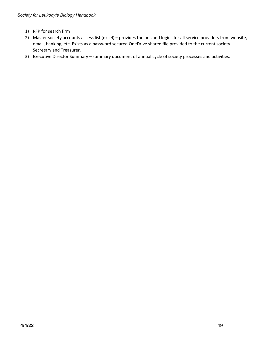- 1) RFP for search firm
- 2) Master society accounts access list (excel) provides the urls and logins for all service providers from website, email, banking, etc. Exists as a password secured OneDrive shared file provided to the current society Secretary and Treasurer.
- 3) Executive Director Summary summary document of annual cycle of society processes and activities.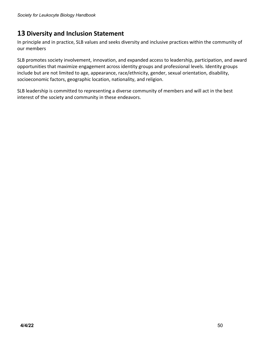# <span id="page-59-0"></span>**13 Diversity and Inclusion Statement**

In principle and in practice, SLB values and seeks diversity and inclusive practices within the community of our members

SLB promotes society involvement, innovation, and expanded access to leadership, participation, and award opportunities that maximize engagement across identity groups and professional levels. Identity groups include but are not limited to age, appearance, race/ethnicity, gender, sexual orientation, disability, socioeconomic factors, geographic location, nationality, and religion.

SLB leadership is committed to representing a diverse community of members and will act in the best interest of the society and community in these endeavors.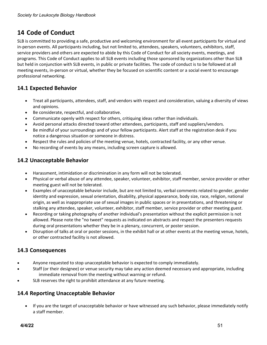# <span id="page-60-0"></span>**14 Code of Conduct**

SLB is committed to providing a safe, productive and welcoming environment for all event participants for virtual and in-person events. All participants including, but not limited to, attendees, speakers, volunteers, exhibitors, staff, service providers and others are expected to abide by this Code of Conduct for all society events, meetings, and programs. This Code of Conduct applies to all SLB events including those sponsored by organizations other than SLB but held in conjunction with SLB events, in public or private facilities. The code of conduct is to be followed at all meeting events, in-person or virtual, whether they be focused on scientific content or a social event to encourage professional networking.

# <span id="page-60-1"></span>**14.1 Expected Behavior**

- Treat all participants, attendees, staff, and vendors with respect and consideration, valuing a diversity of views and opinions.
- Be considerate, respectful, and collaborative.
- Communicate openly with respect for others, critiquing ideas rather than individuals.
- Avoid personal attacks directed toward other attendees, participants, staff and suppliers/vendors.
- Be mindful of your surroundings and of your fellow participants. Alert staff at the registration desk if you notice a dangerous situation or someone in distress.
- Respect the rules and policies of the meeting venue, hotels, contracted facility, or any other venue.
- No recording of events by any means, including screen capture is allowed.

# <span id="page-60-2"></span>**14.2 Unacceptable Behavior**

- Harassment, intimidation or discrimination in any form will not be tolerated.
- Physical or verbal abuse of any attendee, speaker, volunteer, exhibitor, staff member, service provider or other meeting guest will not be tolerated.
- Examples of unacceptable behavior include, but are not limited to, verbal comments related to gender, gender identity and expression, sexual orientation, disability, physical appearance, body size, race, religion, national origin, as well as inappropriate use of sexual images in public spaces or in presentations, and threatening or stalking any attendee, speaker, volunteer, exhibitor, staff member, service provider or other meeting guest.
- Recording or taking photography of another individual's presentation without the explicit permission is not allowed. Please note the "no tweet" requests as indicated on abstracts and respect the presenters requests during oral presentations whether they be in a plenary, concurrent, or poster session.
- Disruption of talks at oral or poster sessions, in the exhibit hall or at other events at the meeting venue, hotels, or other contracted facility is not allowed.

# <span id="page-60-3"></span>**14.3 Consequences**

- Anyone requested to stop unacceptable behavior is expected to comply immediately.
- Staff (or their designee) or venue security may take any action deemed necessary and appropriate, including immediate removal from the meeting without warning or refund.
- SLB reserves the right to prohibit attendance at any future meeting.

# <span id="page-60-4"></span>**14.4 Reporting Unacceptable Behavior**

• If you are the target of unacceptable behavior or have witnessed any such behavior, please immediately notify a staff member.